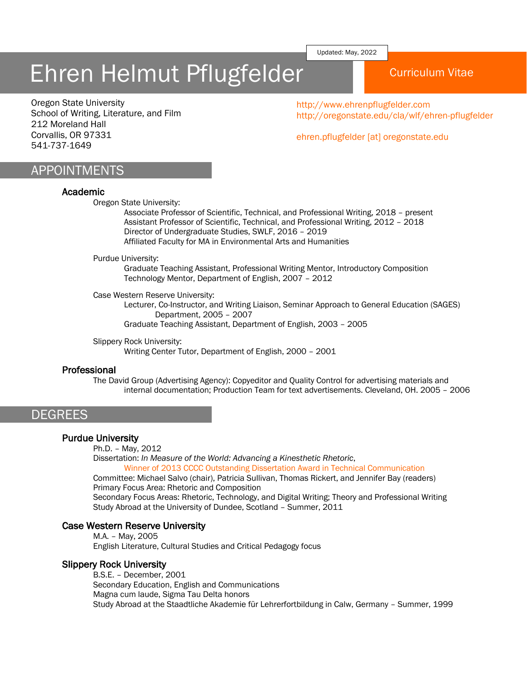Updated: May, 2022

# Ehren Helmut Pflugfelder Naurriculum Vitae

Oregon State University School of Writing, Literature, and Film 212 Moreland Hall Corvallis, OR 97331 541-737-1649

http://www.ehrenpflugfelder.com http://oregonstate.edu/cla/wlf/ehren-pflugfelder

ehren.pflugfelder [at] oregonstate.edu

# APPOINTMENTS

#### Academic

Oregon State University:

Associate Professor of Scientific, Technical, and Professional Writing, 2018 – present Assistant Professor of Scientific, Technical, and Professional Writing, 2012 – 2018 Director of Undergraduate Studies, SWLF, 2016 – 2019 Affiliated Faculty for MA in Environmental Arts and Humanities

#### Purdue University:

Graduate Teaching Assistant, Professional Writing Mentor, Introductory Composition Technology Mentor, Department of English, 2007 – 2012

#### Case Western Reserve University:

Lecturer, Co-Instructor, and Writing Liaison, Seminar Approach to General Education (SAGES) Department, 2005 – 2007

Graduate Teaching Assistant, Department of English, 2003 – 2005

Slippery Rock University: Writing Center Tutor, Department of English, 2000 – 2001

## Professional

The David Group (Advertising Agency): Copyeditor and Quality Control for advertising materials and internal documentation; Production Team for text advertisements. Cleveland, OH. 2005 – 2006

# **DEGREES**

### Purdue University

Ph.D. – May, 2012

Dissertation: *In Measure of the World: Advancing a Kinesthetic Rhetoric*, Winner of 2013 CCCC Outstanding Dissertation Award in Technical Communication

Committee: Michael Salvo (chair), Patricia Sullivan, Thomas Rickert, and Jennifer Bay (readers) Primary Focus Area: Rhetoric and Composition

Secondary Focus Areas: Rhetoric, Technology, and Digital Writing; Theory and Professional Writing Study Abroad at the University of Dundee, Scotland – Summer, 2011

### Case Western Reserve University

M.A. – May, 2005 English Literature, Cultural Studies and Critical Pedagogy focus

### Slippery Rock University

B.S.E. – December, 2001 Secondary Education, English and Communications Magna cum laude, Sigma Tau Delta honors Study Abroad at the Staadtliche Akademie für Lehrerfortbildung in Calw, Germany – Summer, 1999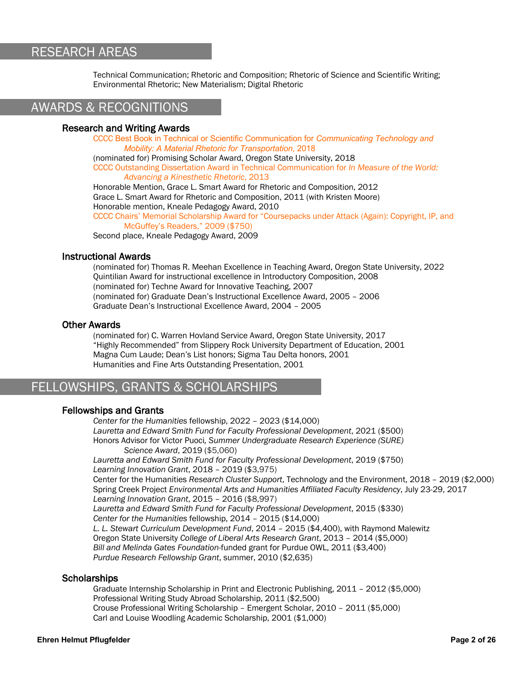# RESEARCH AREAS

Technical Communication; Rhetoric and Composition; Rhetoric of Science and Scientific Writing; Environmental Rhetoric; New Materialism; Digital Rhetoric

# AWARDS & RECOGNITIONS

## Research and Writing Awards

CCCC Best Book in Technical or Scientific Communication for *Communicating Technology and Mobility: A Material Rhetoric for Transportation*, 2018

(nominated for) Promising Scholar Award, Oregon State University, 2018

CCCC Outstanding Dissertation Award in Technical Communication for *In Measure of the World: Advancing a Kinesthetic Rhetoric*, 2013

Honorable Mention, Grace L. Smart Award for Rhetoric and Composition, 2012 Grace L. Smart Award for Rhetoric and Composition, 2011 (with Kristen Moore) Honorable mention, Kneale Pedagogy Award, 2010

CCCC Chairs' Memorial Scholarship Award for "Coursepacks under Attack (Again): Copyright, IP, and McGuffey's Readers," 2009 (\$750)

Second place, Kneale Pedagogy Award, 2009

#### Instructional Awards

(nominated for) Thomas R. Meehan Excellence in Teaching Award, Oregon State University, 2022 Quintilian Award for instructional excellence in Introductory Composition, 2008 (nominated for) Techne Award for Innovative Teaching, 2007 (nominated for) Graduate Dean's Instructional Excellence Award, 2005 – 2006 Graduate Dean's Instructional Excellence Award, 2004 – 2005

### Other Awards

(nominated for) C. Warren Hovland Service Award, Oregon State University, 2017 "Highly Recommended" from Slippery Rock University Department of Education, 2001 Magna Cum Laude; Dean's List honors; Sigma Tau Delta honors, 2001 Humanities and Fine Arts Outstanding Presentation, 2001

# FELLOWSHIPS, GRANTS & SCHOLARSHIPS

### Fellowships and Grants

*Center for the Humanities* fellowship, 2022 – 2023 (\$14,000) *Lauretta and Edward Smith Fund for Faculty Professional Development*, 2021 (\$500) Honors Advisor for Victor Puoci*, Summer Undergraduate Research Experience (SURE) Science Award*, 2019 (\$5,060) *Lauretta and Edward Smith Fund for Faculty Professional Development*, 2019 (\$750) *Learning Innovation Grant*, 2018 – 2019 (\$3,975) Center for the Humanities *Research Cluster Support*, Technology and the Environment, 2018 – 2019 (\$2,000) Spring Creek Project *Environmental Arts and Humanities Affiliated Faculty Residency*, July 23-29, 2017 *Learning Innovation Grant*, 2015 – 2016 (\$8,997) *Lauretta and Edward Smith Fund for Faculty Professional Development*, 2015 (\$330) *Center for the Humanities* fellowship, 2014 – 2015 (\$14,000) *L. L. Stewart Curriculum Development Fund*, 2014 – 2015 (\$4,400), with Raymond Malewitz Oregon State University *College of Liberal Arts Research Grant*, 2013 – 2014 (\$5,000) *Bill and Melinda Gates Foundation-*funded grant for Purdue OWL, 2011 (\$3,400) *Purdue Research Fellowship Grant*, summer, 2010 (\$2,635)

### **Scholarships**

Graduate Internship Scholarship in Print and Electronic Publishing, 2011 – 2012 (\$5,000) Professional Writing Study Abroad Scholarship, 2011 (\$2,500) Crouse Professional Writing Scholarship – Emergent Scholar, 2010 – 2011 (\$5,000) Carl and Louise Woodling Academic Scholarship, 2001 (\$1,000)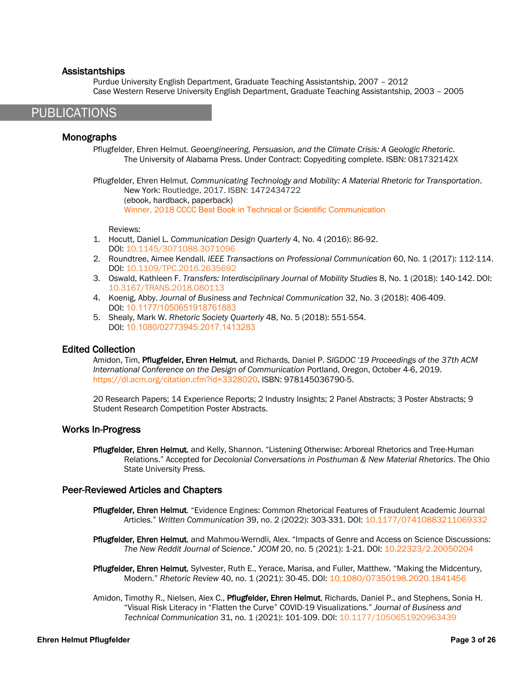### Assistantships

Purdue University English Department, Graduate Teaching Assistantship, 2007 – 2012 Case Western Reserve University English Department, Graduate Teaching Assistantship, 2003 – 2005

# PUBLICATIONS

# Monographs

Pflugfelder, Ehren Helmut. *Geoengineering, Persuasion, and the Climate Crisis: A Geologic Rhetoric*. The University of Alabama Press. Under Contract: Copyediting complete. ISBN: 081732142X

Pflugfelder, Ehren Helmut. *Communicating Technology and Mobility: A Material Rhetoric for Transportation*. New York: Routledge, 2017. ISBN: 1472434722 (ebook, hardback, paperback) Winner, 2018 CCCC Best Book in Technical or Scientific Communication

Reviews:

- 1. Hocutt, Daniel L. *Communication Design Quarterly* 4, No. 4 (2016): 86-92. DOI: 10.1145/3071088.3071096
- 2. Roundtree, Aimee Kendall. *IEEE Transactions on Professional Communication* 60, No. 1 (2017): 112-114. DOI: 10.1109/TPC.2016.2635692
- 3. Oswald, Kathleen F. *Transfers: Interdisciplinary Journal of Mobility Studies* 8, No. 1 (2018): 140-142. DOI: 10.3167/TRANS.2018.080113
- 4. Koenig, Abby. *Journal of Business and Technical Communication* 32, No. 3 (2018): 406-409. DOI: 10.1177/1050651918761883
- 5. Shealy, Mark W. *Rhetoric Society Quarterly* 48, No. 5 (2018): 551-554. DOI: 10.1080/02773945.2017.1413283

# Edited Collection

Amidon, Tim, Pflugfelder, Ehren Helmut, and Richards, Daniel P. *SIGDOC '19 Proceedings of the 37th ACM International Conference on the Design of Communication* Portland, Oregon, October 4-6, 2019. https://dl.acm.org/citation.cfm?id=3328020. ISBN: 978145036790-5.

20 Research Papers; 14 Experience Reports; 2 Industry Insights; 2 Panel Abstracts; 3 Poster Abstracts; 9 Student Research Competition Poster Abstracts.

# Works In-Progress

Pflugfelder, Ehren Helmut, and Kelly, Shannon. "Listening Otherwise: Arboreal Rhetorics and Tree-Human Relations." Accepted for *Decolonial Conversations in Posthuman & New Material Rhetorics*. The Ohio State University Press.

# Peer-Reviewed Articles and Chapters

- Pflugfelder, Ehren Helmut. "Evidence Engines: Common Rhetorical Features of Fraudulent Academic Journal Articles." *Written Communication* 39, no. 2 (2022): 303-331. DOI: 10.1177/07410883211069332
- Pflugfelder, Ehren Helmut, and Mahmou-Werndli, Alex. "Impacts of Genre and Access on Science Discussions: *The New Reddit Journal of Science*." *JCOM* 20, no. 5 (2021): 1-21. DOI: 10.22323/2.20050204
- Pflugfelder, Ehren Helmut, Sylvester, Ruth E., Yerace, Marisa, and Fuller, Matthew. "Making the Midcentury, Modern." *Rhetoric Review* 40, no. 1 (2021): 30-45. DOI: 10.1080/07350198.2020.1841456
- Amidon, Timothy R., Nielsen, Alex C., Pflugfelder, Ehren Helmut, Richards, Daniel P., and Stephens, Sonia H. "Visual Risk Literacy in "Flatten the Curve" COVID-19 Visualizations." *Journal of Business and Technical Communication* 31, no. 1 (2021): 101-109. DOI: 10.1177/1050651920963439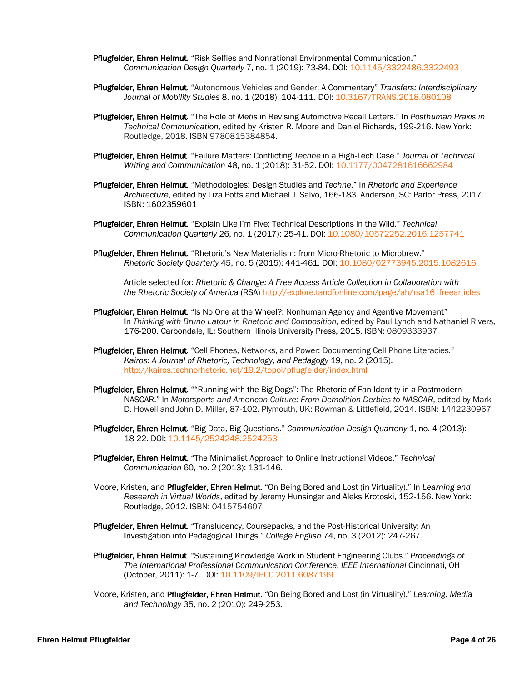- Pflugfelder, Ehren Helmut. "Risk Selfies and Nonrational Environmental Communication." *Communication Design Quarterly* 7, no. 1 (2019): 73-84. DOI: 10.1145/3322486.3322493
- Pflugfelder, Ehren Helmut. "Autonomous Vehicles and Gender: A Commentary" *Transfers: Interdisciplinary Journal of Mobility Studies* 8, no. 1 (2018): 104-111. DOI: 10.3167/TRANS.2018.080108
- Pflugfelder, Ehren Helmut. "The Role of *Metis* in Revising Automotive Recall Letters." In *Posthuman Praxis in Technical Communication*, edited by Kristen R. Moore and Daniel Richards, 199-216. New York: Routledge, 2018. ISBN 9780815384854.
- Pflugfelder, Ehren Helmut. "Failure Matters: Conflicting *Techne* in a High-Tech Case." *Journal of Technical Writing and Communication* 48, no. 1 (2018): 31-52. DOI: 10.1177/0047281616662984
- Pflugfelder, Ehren Helmut. "Methodologies: Design Studies and *Techne*." In *Rhetoric and Experience Architecture*, edited by Liza Potts and Michael J. Salvo, 166-183. Anderson, SC: Parlor Press, 2017. ISBN: 1602359601
- Pflugfelder, Ehren Helmut. "Explain Like I'm Five: Technical Descriptions in the Wild." *Technical Communication Quarterly* 26, no. 1 (2017): 25-41. DOI: 10.1080/10572252.2016.1257741
- Pflugfelder, Ehren Helmut. "Rhetoric's New Materialism: from Micro-Rhetoric to Microbrew." *Rhetoric Society Quarterly* 45, no. 5 (2015): 441-461. DOI: 10.1080/02773945.2015.1082616

Article selected for: *Rhetoric & Change: A Free Access Article Collection in Collaboration with the Rhetoric Society of America* (RSA) http://explore.tandfonline.com/page/ah/rsa16\_freearticles

- Pflugfelder, Ehren Helmut. "Is No One at the Wheel?: Nonhuman Agency and Agentive Movement" In *Thinking with Bruno Latour in Rhetoric and Composition*, edited by Paul Lynch and Nathaniel Rivers, 176-200. Carbondale, IL: Southern Illinois University Press, 2015. ISBN: 0809333937
- Pflugfelder, Ehren Helmut. "Cell Phones, Networks, and Power: Documenting Cell Phone Literacies." *Kairos: A Journal of Rhetoric, Technology, and Pedagogy* 19, no. 2 (2015). http://kairos.technorhetoric.net/19.2/topoi/pflugfelder/index.html
- **Pflugfelder, Ehren Helmut.** ""Running with the Big Dogs": The Rhetoric of Fan Identity in a Postmodern NASCAR." In *Motorsports and American Culture: From Demolition Derbies to NASCAR*, edited by Mark D. Howell and John D. Miller, 87-102. Plymouth, UK: Rowman & Littlefield, 2014. ISBN: 1442230967
- Pflugfelder, Ehren Helmut. "Big Data, Big Questions." *Communication Design Quarterly* 1, no. 4 (2013): 18-22. DOI: 10.1145/2524248.2524253
- Pflugfelder, Ehren Helmut. "The Minimalist Approach to Online Instructional Videos." *Technical Communication* 60, no. 2 (2013): 131-146.
- Moore, Kristen, and Pflugfelder, Ehren Helmut. "On Being Bored and Lost (in Virtuality)." In *Learning and Research in Virtual Worlds*, edited by Jeremy Hunsinger and Aleks Krotoski, 152-156. New York: Routledge, 2012. ISBN: 0415754607
- Pflugfelder, Ehren Helmut. "Translucency, Coursepacks, and the Post-Historical University: An Investigation into Pedagogical Things." *College English* 74, no. 3 (2012): 247-267.
- Pflugfelder, Ehren Helmut. "Sustaining Knowledge Work in Student Engineering Clubs." *Proceedings of The International Professional Communication Conference*, *IEEE International* Cincinnati, OH (October, 2011): 1-7. DOI: 10.1109/IPCC.2011.6087199
- Moore, Kristen, and Pflugfelder, Ehren Helmut. "On Being Bored and Lost (in Virtuality)." *Learning, Media and Technology* 35, no. 2 (2010): 249-253.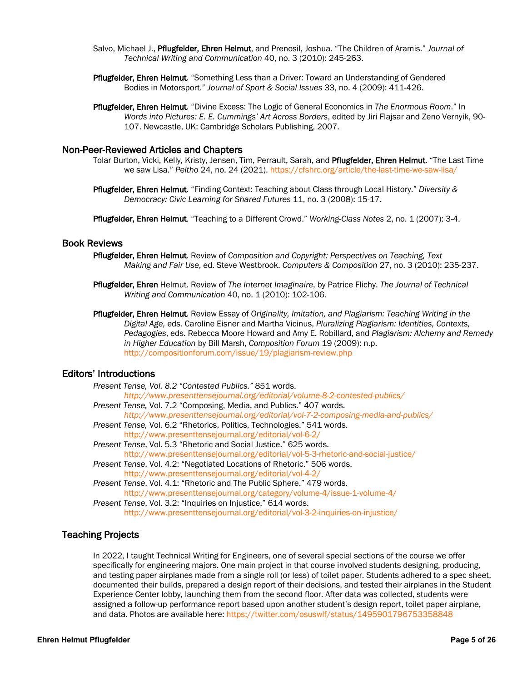- Salvo, Michael J., Pflugfelder, Ehren Helmut, and Prenosil, Joshua. "The Children of Aramis." *Journal of Technical Writing and Communication* 40, no. 3 (2010): 245-263.
- Pflugfelder, Ehren Helmut. "Something Less than a Driver: Toward an Understanding of Gendered Bodies in Motorsport." *Journal of Sport & Social Issues* 33, no. 4 (2009): 411-426.
- Pflugfelder, Ehren Helmut. "Divine Excess: The Logic of General Economics in *The Enormous Room*." In *Words into Pictures: E. E. Cummings' Art Across Borders*, edited by Jiri Flajsar and Zeno Vernyik, 90- 107. Newcastle, UK: Cambridge Scholars Publishing, 2007.

#### Non-Peer-Reviewed Articles and Chapters

- Tolar Burton, Vicki, Kelly, Kristy, Jensen, Tim, Perrault, Sarah, and Pflugfelder, Ehren Helmut. "The Last Time we saw Lisa." *Peitho* 24, no. 24 (2021). https://cfshrc.org/article/the-last-time-we-saw-lisa/
- Pflugfelder, Ehren Helmut. "Finding Context: Teaching about Class through Local History." *Diversity & Democracy: Civic Learning for Shared Futures* 11, no. 3 (2008): 15-17.

Pflugfelder, Ehren Helmut. "Teaching to a Different Crowd." *Working-Class Notes* 2, no. 1 (2007): 3-4.

### Book Reviews

- Pflugfelder, Ehren Helmut. Review of *Composition and Copyright: Perspectives on Teaching, Text Making and Fair Use*, ed. Steve Westbrook. *Computers & Composition* 27, no. 3 (2010): 235-237.
- Pflugfelder, Ehren Helmut. Review of *The Internet Imaginaire*, by Patrice Flichy. *The Journal of Technical Writing and Communication* 40, no. 1 (2010): 102-106.
- Pflugfelder, Ehren Helmut. Review Essay of *Originality, Imitation, and Plagiarism: Teaching Writing in the Digital Age,* eds. Caroline Eisner and Martha Vicinus, *Pluralizing Plagiarism: Identities, Contexts, Pedagogies*, eds. Rebecca Moore Howard and Amy E. Robillard, and *Plagiarism: Alchemy and Remedy in Higher Education* by Bill Marsh, *Composition Forum* 19 (2009): n.p. http://compositionforum.com/issue/19/plagiarism-review.php

# Editors' Introductions

|  | Present Tense, Vol. 8.2 "Contested Publics." 851 words.                           |
|--|-----------------------------------------------------------------------------------|
|  | http://www.presenttensejournal.org/editorial/volume-8-2-contested-publics/        |
|  | Present Tense, Vol. 7.2 "Composing, Media, and Publics." 407 words.               |
|  | http://www.presenttensejournal.org/editorial/vol-7-2-composing-media-and-publics/ |
|  | Present Tense, Vol. 6.2 "Rhetorics, Politics, Technologies." 541 words.           |
|  | http://www.presenttensejournal.org/editorial/vol-6-2/                             |
|  | Present Tense, Vol. 5.3 "Rhetoric and Social Justice." 625 words.                 |
|  | http://www.presenttensejournal.org/editorial/vol-5-3-rhetoric-and-social-justice/ |
|  | Present Tense, Vol. 4.2: "Negotiated Locations of Rhetoric." 506 words.           |
|  | http://www.presenttensejournal.org/editorial/vol-4-2/                             |
|  | Present Tense, Vol. 4.1: "Rhetoric and The Public Sphere." 479 words.             |
|  | http://www.presenttensejournal.org/category/volume-4/issue-1-volume-4/            |
|  | Present Tense, Vol. 3.2: "Inquiries on Injustice." 614 words.                     |
|  | http://www.presenttensejournal.org/editorial/vol-3-2-inquiries-on-injustice/      |

# Teaching Projects

In 2022, I taught Technical Writing for Engineers, one of several special sections of the course we offer specifically for engineering majors. One main project in that course involved students designing, producing, and testing paper airplanes made from a single roll (or less) of toilet paper. Students adhered to a spec sheet, documented their builds, prepared a design report of their decisions, and tested their airplanes in the Student Experience Center lobby, launching them from the second floor. After data was collected, students were assigned a follow-up performance report based upon another student's design report, toilet paper airplane, and data. Photos are available here: https://twitter.com/osuswlf/status/1495901796753358848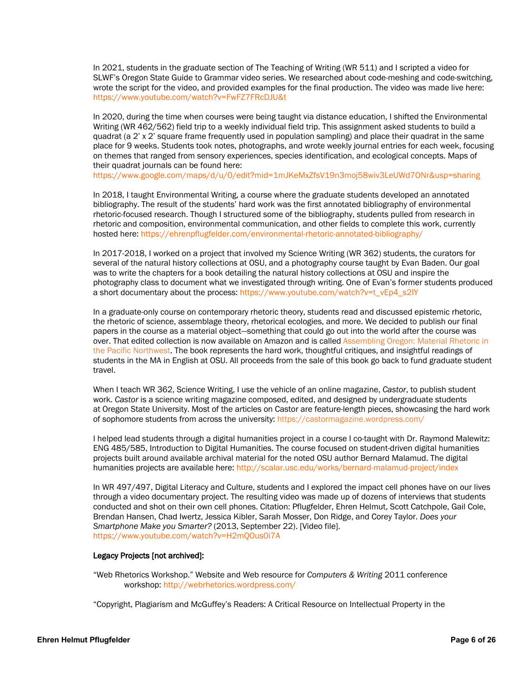In 2021, students in the graduate section of The Teaching of Writing (WR 511) and I scripted a video for SLWF's Oregon State Guide to Grammar video series. We researched about code-meshing and code-switching, wrote the script for the video, and provided examples for the final production. The video was made live here: https://www.youtube.com/watch?v=FwFZ7FRcDJU&t

In 2020, during the time when courses were being taught via distance education, I shifted the Environmental Writing (WR 462/562) field trip to a weekly individual field trip. This assignment asked students to build a quadrat (a 2' x 2' square frame frequently used in population sampling) and place their quadrat in the same place for 9 weeks. Students took notes, photographs, and wrote weekly journal entries for each week, focusing on themes that ranged from sensory experiences, species identification, and ecological concepts. Maps of their quadrat journals can be found here:

https://www.google.com/maps/d/u/0/edit?mid=1mJKeMxZfsV19n3moj58wiv3LeUWd7ONr&usp=sharing

In 2018, I taught Environmental Writing, a course where the graduate students developed an annotated bibliography. The result of the students' hard work was the first annotated bibliography of environmental rhetoric-focused research. Though I structured some of the bibliography, students pulled from research in rhetoric and composition, environmental communication, and other fields to complete this work, currently hosted here: https://ehrenpflugfelder.com/environmental-rhetoric-annotated-bibliography/

In 2017-2018, I worked on a project that involved my Science Writing (WR 362) students, the curators for several of the natural history collections at OSU, and a photography course taught by Evan Baden. Our goal was to write the chapters for a book detailing the natural history collections at OSU and inspire the photography class to document what we investigated through writing. One of Evan's former students produced a short documentary about the process: https://www.youtube.com/watch?v=t\_vEp4\_s2IY

In a graduate-only course on contemporary rhetoric theory, students read and discussed epistemic rhetoric, the rhetoric of science, assemblage theory, rhetorical ecologies, and more. We decided to publish our final papers in the course as a material object—something that could go out into the world after the course was over. That edited collection is now available on Amazon and is called Assembling Oregon: Material Rhetoric in the Pacific Northwest. The book represents the hard work, thoughtful critiques, and insightful readings of students in the MA in English at OSU. All proceeds from the sale of this book go back to fund graduate student travel.

When I teach WR 362, Science Writing, I use the vehicle of an online magazine, *Castor*, to publish student work. *Castor* is a science writing magazine composed, edited, and designed by undergraduate students at Oregon State University. Most of the articles on Castor are feature-length pieces, showcasing the hard work of sophomore students from across the university: https://castormagazine.wordpress.com/

I helped lead students through a digital humanities project in a course I co-taught with Dr. Raymond Malewitz: ENG 485/585, Introduction to Digital Humanities. The course focused on student-driven digital humanities projects built around available archival material for the noted OSU author Bernard Malamud. The digital humanities projects are available here: http://scalar.usc.edu/works/bernard-malamud-project/index

In WR 497/497, Digital Literacy and Culture, students and I explored the impact cell phones have on our lives through a video documentary project. The resulting video was made up of dozens of interviews that students conducted and shot on their own cell phones. Citation: Pflugfelder, Ehren Helmut, Scott Catchpole, Gail Cole, Brendan Hansen, Chad Iwertz, Jessica Kibler, Sarah Mosser, Don Ridge, and Corey Taylor. *Does your Smartphone Make you Smarter?* (2013, September 22). [Video file]. https://www.youtube.com/watch?v=H2mQOus0i7A

#### Legacy Projects [not archived]:

"Web Rhetorics Workshop." Website and Web resource for *Computers & Writing* 2011 conference workshop: http://webrhetorics.wordpress.com/

"Copyright, Plagiarism and McGuffey's Readers: A Critical Resource on Intellectual Property in the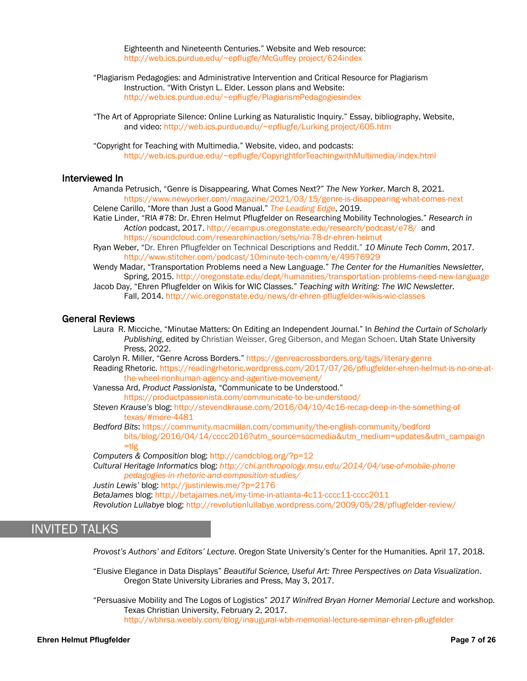Eighteenth and Nineteenth Centuries." Website and Web resource: http://web.ics.purdue.edu/~epflugfe/McGuffey project/624index

"Plagiarism Pedagogies: and Administrative Intervention and Critical Resource for Plagiarism Instruction. "With Cristyn L. Elder. Lesson plans and Website: http://web.ics.purdue.edu/~epflugfe/PlagiarismPedagogiesindex

"The Art of Appropriate Silence: Online Lurking as Naturalistic Inquiry." Essay, bibliography, Website, and video: http://web.ics.purdue.edu/~epflugfe/Lurking project/605.htm

 "Copyright for Teaching with Multimedia." Website, video, and podcasts: http://web.ics.purdue.edu/~epflugfe/CopyrightforTeachingwithMultimedia/index.html

#### Interviewed In

Amanda Petrusich, "Genre is Disappearing. What Comes Next?" *The New Yorker*. March 8, 2021. https://www.newyorker.com/magazine/2021/03/15/genre-is-disappearing-what-comes-next Celene Carillo, "More than Just a Good Manual." *The Leading Edge*, 2019.

Katie Linder, "RIA #78: Dr. Ehren Helmut Pflugfelder on Researching Mobility Technologies." *Research in Action* podcast, 2017. http://ecampus.oregonstate.edu/research/podcast/e78/ and https://soundcloud.com/researchinaction/sets/ria-78-dr-ehren-helmut

Ryan Weber, "Dr. Ehren Pflugfelder on Technical Descriptions and Reddit." *10 Minute Tech Comm*, 2017. http://www.stitcher.com/podcast/10minute-tech-comm/e/49576929

Wendy Madar, "Transportation Problems need a New Language." *The Center for the Humanities Newsletter*, Spring, 2015. http://oregonstate.edu/dept/humanities/transportation-problems-need-new-language

Jacob Day, "Ehren Pflugfelder on Wikis for WIC Classes." *Teaching with Writing: The WIC Newsletter*. Fall, 2014. http://wic.oregonstate.edu/news/dr-ehren-pflugfelder-wikis-wic-classes

### General Reviews

Laura R. Micciche, "Minutae Matters: On Editing an Independent Journal." In *Behind the Curtain of Scholarly Publishing*, edited by Christian Weisser, Greg Giberson, and Megan Schoen. Utah State University Press, 2022.

Carolyn R. Miller, "Genre Across Borders." https://genreacrossborders.org/tags/literary-genre

Reading Rhetoric. https://readingrhetoric.wordpress.com/2017/07/26/pflugfelder-ehren-helmut-is-no-one-atthe-wheel-nonhuman-agency-and-agentive-movement/

Vanessa Ard, *Product Passionista,* "Communicate to be Understood." https://productpassionista.com/communicate-to-be-understood/

*Steven Krause's* blog: http://stevendkrause.com/2016/04/10/4c16-recap-deep-in-the-something-of texas/#more-4481

*Bedford Bits*: https://community.macmillan.com/community/the-english-community/bedford bits/blog/2016/04/14/cccc2016?utm\_source=socmedia&utm\_medium=updates&utm\_campaign =tlg

*Computers & Composition* blog: http://candcblog.org/?p=12

*Cultural Heritage Informatics* blog: *http://chi.anthropology.msu.edu/2014/04/use-of-mobile-phone pedagogies-in-rhetoric-and-composition-studies/*

*Justin Lewis'* blog: http://justinlewis.me/?p=2176

*BetaJames* blog: http://betajames.net/my-time-in-atlanta-4c11-cccc11-cccc2011

*Revolution Lullabye* blog: http://revolutionlullabye.wordpress.com/2009/05/28/pflugfelder-review/

# INVITED TALKS

*Provost's Authors' and Editors' Lecture*. Oregon State University's Center for the Humanities. April 17, 2018.

"Elusive Elegance in Data Displays" *Beautiful Science, Useful Art: Three Perspectives on Data Visualization*. Oregon State University Libraries and Press, May 3, 2017.

"Persuasive Mobility and The Logos of Logistics" *2017 Winifred Bryan Horner Memorial Lecture* and workshop. Texas Christian University, February 2, 2017. http://wbhrsa.weebly.com/blog/inaugural-wbh-memorial-lecture-seminar-ehren-pflugfelder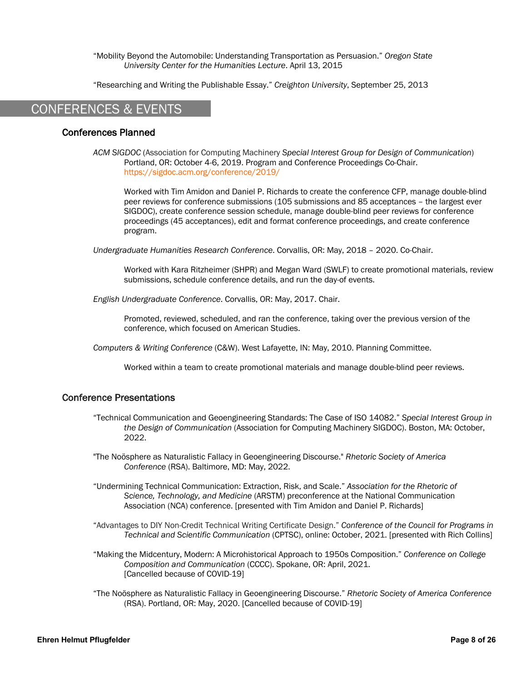"Mobility Beyond the Automobile: Understanding Transportation as Persuasion." *Oregon State University Center for the Humanities Lecture*. April 13, 2015

"Researching and Writing the Publishable Essay." *Creighton University*, September 25, 2013

# CONFERENCES & EVENTS

# Conferences Planned

*ACM SIGDOC* (Association for Computing Machinery *Special Interest Group for Design of Communication*) Portland, OR: October 4-6, 2019. Program and Conference Proceedings Co-Chair. https://sigdoc.acm.org/conference/2019/

Worked with Tim Amidon and Daniel P. Richards to create the conference CFP, manage double-blind peer reviews for conference submissions (105 submissions and 85 acceptances – the largest ever SIGDOC), create conference session schedule, manage double-blind peer reviews for conference proceedings (45 acceptances), edit and format conference proceedings, and create conference program.

*Undergraduate Humanities Research Conference*. Corvallis, OR: May, 2018 – 2020. Co-Chair.

Worked with Kara Ritzheimer (SHPR) and Megan Ward (SWLF) to create promotional materials, review submissions, schedule conference details, and run the day-of events.

*English Undergraduate Conference*. Corvallis, OR: May, 2017. Chair.

Promoted, reviewed, scheduled, and ran the conference, taking over the previous version of the conference, which focused on American Studies.

*Computers & Writing Conference* (C&W). West Lafayette, IN: May, 2010. Planning Committee.

Worked within a team to create promotional materials and manage double-blind peer reviews.

### Conference Presentations

- "Technical Communication and Geoengineering Standards: The Case of ISO 14082." *Special Interest Group in the Design of Communication* (Association for Computing Machinery SIGDOC). Boston, MA: October, 2022.
- "The Noösphere as Naturalistic Fallacy in Geoengineering Discourse." *Rhetoric Society of America Conference* (RSA). Baltimore, MD: May, 2022.
- "Undermining Technical Communication: Extraction, Risk, and Scale." *Association for the Rhetoric of Science, Technology, and Medicine* (ARSTM) preconference at the National Communication Association (NCA) conference. [presented with Tim Amidon and Daniel P. Richards]
- "Advantages to DIY Non-Credit Technical Writing Certificate Design." *Conference of the Council for Programs in Technical and Scientific Communication* (CPTSC), online: October, 2021. [presented with Rich Collins]
- "Making the Midcentury, Modern: A Microhistorical Approach to 1950s Composition." *Conference on College Composition and Communication* (CCCC). Spokane, OR: April, 2021. [Cancelled because of COVID-19]
- "The Noösphere as Naturalistic Fallacy in Geoengineering Discourse." *Rhetoric Society of America Conference* (RSA). Portland, OR: May, 2020. [Cancelled because of COVID-19]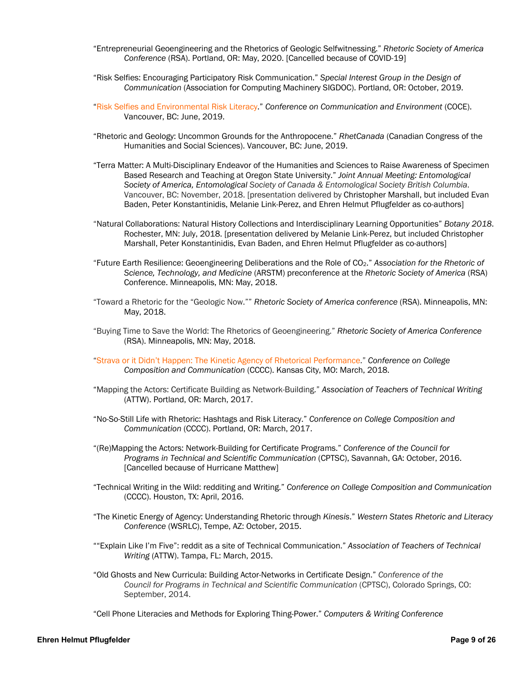- "Entrepreneurial Geoengineering and the Rhetorics of Geologic Selfwitnessing." *Rhetoric Society of America Conference* (RSA). Portland, OR: May, 2020. [Cancelled because of COVID-19]
- "Risk Selfies: Encouraging Participatory Risk Communication." *Special Interest Group in the Design of Communication* (Association for Computing Machinery SIGDOC). Portland, OR: October, 2019.
- "Risk Selfies and Environmental Risk Literacy." *Conference on Communication and Environment* (COCE). Vancouver, BC: June, 2019.
- "Rhetoric and Geology: Uncommon Grounds for the Anthropocene." *RhetCanada* (Canadian Congress of the Humanities and Social Sciences). Vancouver, BC: June, 2019.
- "Terra Matter: A Multi-Disciplinary Endeavor of the Humanities and Sciences to Raise Awareness of Specimen Based Research and Teaching at Oregon State University." *Joint Annual Meeting: Entomological Society of America, Entomological Society of Canada & Entomological Society British Columbia*. Vancouver, BC: November, 2018. [presentation delivered by Christopher Marshall, but included Evan Baden, Peter Konstantinidis, Melanie Link-Perez, and Ehren Helmut Pflugfelder as co-authors]
- "Natural Collaborations: Natural History Collections and Interdisciplinary Learning Opportunities" *Botany 2018*. Rochester, MN: July, 2018. [presentation delivered by Melanie Link-Perez, but included Christopher Marshall, Peter Konstantinidis, Evan Baden, and Ehren Helmut Pflugfelder as co-authors]
- "Future Earth Resilience: Geoengineering Deliberations and the Role of CO2." *Association for the Rhetoric of Science, Technology, and Medicine* (ARSTM) preconference at the *Rhetoric Society of America* (RSA) Conference. Minneapolis, MN: May, 2018.
- "Toward a Rhetoric for the "Geologic Now."" *Rhetoric Society of America conference* (RSA). Minneapolis, MN: May, 2018.
- "Buying Time to Save the World: The Rhetorics of Geoengineering." *Rhetoric Society of America Conference* (RSA). Minneapolis, MN: May, 2018.
- "Strava or it Didn't Happen: The Kinetic Agency of Rhetorical Performance." *Conference on College Composition and Communication* (CCCC). Kansas City, MO: March, 2018.
- "Mapping the Actors: Certificate Building as Network-Building." *Association of Teachers of Technical Writing* (ATTW). Portland, OR: March, 2017.
- "No-So-Still Life with Rhetoric: Hashtags and Risk Literacy." *Conference on College Composition and Communication* (CCCC). Portland, OR: March, 2017.
- "(Re)Mapping the Actors: Network-Building for Certificate Programs." *Conference of the Council for Programs in Technical and Scientific Communication* (CPTSC), Savannah, GA: October, 2016. [Cancelled because of Hurricane Matthew]
- "Technical Writing in the Wild: redditing and Writing." *Conference on College Composition and Communication* (CCCC). Houston, TX: April, 2016.
- "The Kinetic Energy of Agency: Understanding Rhetoric through *Kinesis*." *Western States Rhetoric and Literacy Conference* (WSRLC), Tempe, AZ: October, 2015.
- ""Explain Like I'm Five": reddit as a site of Technical Communication." *Association of Teachers of Technical Writing* (ATTW). Tampa, FL: March, 2015.
- "Old Ghosts and New Curricula: Building Actor-Networks in Certificate Design." *Conference of the Council for Programs in Technical and Scientific Communication* (CPTSC), Colorado Springs, CO: September, 2014.
- "Cell Phone Literacies and Methods for Exploring Thing-Power." *Computers & Writing Conference*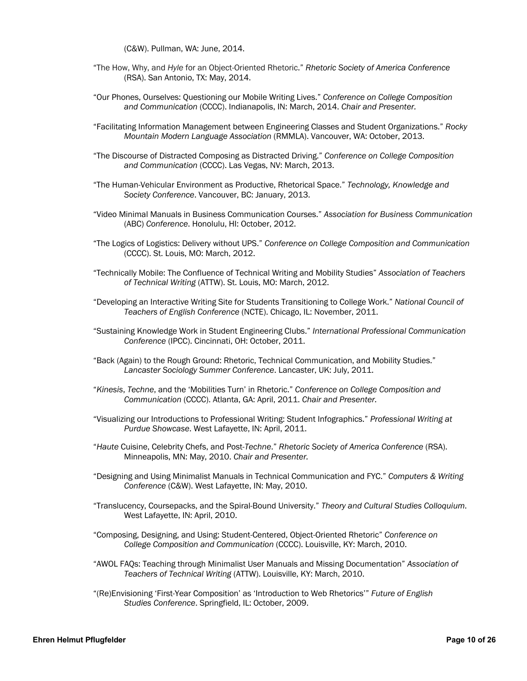(C&W). Pullman, WA: June, 2014.

- "The How, Why, and *Hyle* for an Object-Oriented Rhetoric." *Rhetoric Society of America Conference* (RSA). San Antonio, TX: May, 2014.
- "Our Phones, Ourselves: Questioning our Mobile Writing Lives." *Conference on College Composition and Communication* (CCCC). Indianapolis, IN: March, 2014. *Chair and Presenter.*
- "Facilitating Information Management between Engineering Classes and Student Organizations." *Rocky Mountain Modern Language Association* (RMMLA). Vancouver, WA: October, 2013.
- "The Discourse of Distracted Composing as Distracted Driving." *Conference on College Composition and Communication* (CCCC). Las Vegas, NV: March, 2013.
- "The Human-Vehicular Environment as Productive, Rhetorical Space." *Technology, Knowledge and Society Conference*. Vancouver, BC: January, 2013.
- "Video Minimal Manuals in Business Communication Courses." *Association for Business Communication* (ABC) *Conference*. Honolulu, HI: October, 2012.
- "The Logics of Logistics: Delivery without UPS." *Conference on College Composition and Communication* (CCCC). St. Louis, MO: March, 2012.
- "Technically Mobile: The Confluence of Technical Writing and Mobility Studies" *Association of Teachers of Technical Writing* (ATTW). St. Louis, MO: March, 2012.
- "Developing an Interactive Writing Site for Students Transitioning to College Work." *National Council of Teachers of English Conference* (NCTE). Chicago, IL: November, 2011.
- "Sustaining Knowledge Work in Student Engineering Clubs." *International Professional Communication Conference* (IPCC). Cincinnati, OH: October, 2011.
- "Back (Again) to the Rough Ground: Rhetoric, Technical Communication, and Mobility Studies." *Lancaster Sociology Summer Conference*. Lancaster, UK: July, 2011.
- "*Kinesis*, *Techne*, and the 'Mobilities Turn' in Rhetoric." *Conference on College Composition and Communication* (CCCC). Atlanta, GA: April, 2011. *Chair and Presenter.*
- "Visualizing our Introductions to Professional Writing: Student Infographics." *Professional Writing at Purdue Showcase*. West Lafayette, IN: April, 2011.
- "*Haute* Cuisine, Celebrity Chefs, and Post-*Techne*." *Rhetoric Society of America Conference* (RSA). Minneapolis, MN: May, 2010. *Chair and Presenter.*
- "Designing and Using Minimalist Manuals in Technical Communication and FYC." *Computers & Writing Conference* (C&W). West Lafayette, IN: May, 2010.
- "Translucency, Coursepacks, and the Spiral-Bound University." *Theory and Cultural Studies Colloquium*. West Lafayette, IN: April, 2010.
- "Composing, Designing, and Using: Student-Centered, Object-Oriented Rhetoric" *Conference on College Composition and Communication* (CCCC). Louisville, KY: March, 2010.
- "AWOL FAQs: Teaching through Minimalist User Manuals and Missing Documentation" *Association of Teachers of Technical Writing* (ATTW). Louisville, KY: March, 2010.
- "(Re)Envisioning 'First-Year Composition' as 'Introduction to Web Rhetorics'" *Future of English Studies Conference*. Springfield, IL: October, 2009.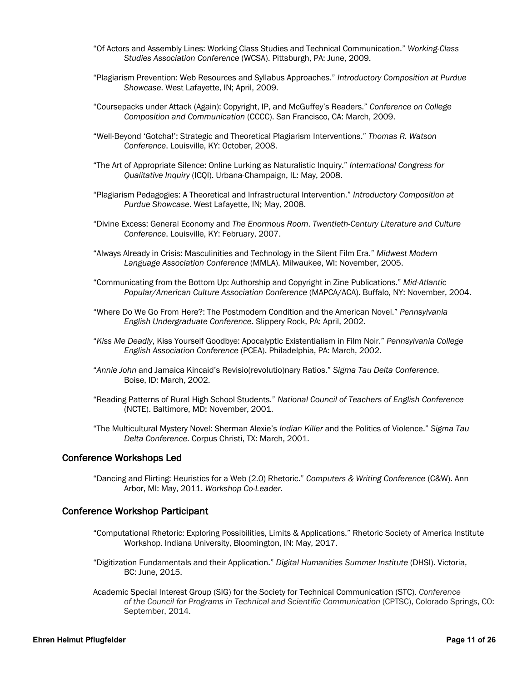- "Of Actors and Assembly Lines: Working Class Studies and Technical Communication." *Working-Class Studies Association Conference* (WCSA). Pittsburgh, PA: June, 2009.
- "Plagiarism Prevention: Web Resources and Syllabus Approaches." *Introductory Composition at Purdue Showcase*. West Lafayette, IN; April, 2009.
- "Coursepacks under Attack (Again): Copyright, IP, and McGuffey's Readers." *Conference on College Composition and Communication* (CCCC). San Francisco, CA: March, 2009.
- "Well-Beyond 'Gotcha!': Strategic and Theoretical Plagiarism Interventions." *Thomas R. Watson Conference*. Louisville, KY: October, 2008.
- "The Art of Appropriate Silence: Online Lurking as Naturalistic Inquiry." *International Congress for Qualitative Inquiry* (ICQI). Urbana-Champaign, IL: May, 2008.
- "Plagiarism Pedagogies: A Theoretical and Infrastructural Intervention." *Introductory Composition at Purdue Showcase*. West Lafayette, IN; May, 2008.
- "Divine Excess: General Economy and *The Enormous Room*. *Twentieth-Century Literature and Culture Conference*. Louisville, KY: February, 2007.
- "Always Already in Crisis: Masculinities and Technology in the Silent Film Era." *Midwest Modern Language Association Conference* (MMLA). Milwaukee, WI: November, 2005.
- "Communicating from the Bottom Up: Authorship and Copyright in Zine Publications." *Mid-Atlantic Popular/American Culture Association Conference* (MAPCA/ACA). Buffalo, NY: November, 2004.
- "Where Do We Go From Here?: The Postmodern Condition and the American Novel." *Pennsylvania English Undergraduate Conference*. Slippery Rock, PA: April, 2002.
- "*Kiss Me Deadly*, Kiss Yourself Goodbye: Apocalyptic Existentialism in Film Noir." *Pennsylvania College English Association Conference* (PCEA). Philadelphia, PA: March, 2002.
- "*Annie John* and Jamaica Kincaid's Revisio(revolutio)nary Ratios." *Sigma Tau Delta Conference*. Boise, ID: March, 2002.
- "Reading Patterns of Rural High School Students." *National Council of Teachers of English Conference* (NCTE). Baltimore, MD: November, 2001.
- "The Multicultural Mystery Novel: Sherman Alexie's *Indian Killer* and the Politics of Violence." *Sigma Tau Delta Conference*. Corpus Christi, TX: March, 2001.

### Conference Workshops Led

"Dancing and Flirting: Heuristics for a Web (2.0) Rhetoric." *Computers & Writing Conference* (C&W). Ann Arbor, MI: May, 2011. *Workshop Co-Leader.*

### Conference Workshop Participant

- "Computational Rhetoric: Exploring Possibilities, Limits & Applications." Rhetoric Society of America Institute Workshop. Indiana University, Bloomington, IN: May, 2017.
- "Digitization Fundamentals and their Application." *Digital Humanities Summer Institute* (DHSI). Victoria, BC: June, 2015.
- Academic Special Interest Group (SIG) for the Society for Technical Communication (STC). *Conference of the Council for Programs in Technical and Scientific Communication* (CPTSC), Colorado Springs, CO: September, 2014.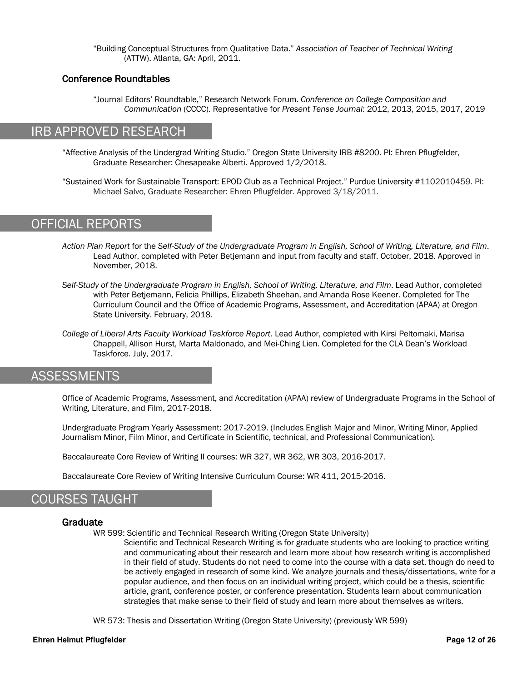"Building Conceptual Structures from Qualitative Data." *Association of Teacher of Technical Writing* (ATTW). Atlanta, GA: April, 2011.

## Conference Roundtables

"Journal Editors' Roundtable," Research Network Forum. *Conference on College Composition and Communication* (CCCC). Representative for *Present Tense Journal*: 2012, 2013, 2015, 2017, 2019

# IRB APPROVED RESEARCH

"Affective Analysis of the Undergrad Writing Studio." Oregon State University IRB #8200. PI: Ehren Pflugfelder, Graduate Researcher: Chesapeake Alberti. Approved 1/2/2018.

"Sustained Work for Sustainable Transport: EPOD Club as a Technical Project." Purdue University #1102010459. PI: Michael Salvo, Graduate Researcher: Ehren Pflugfelder. Approved 3/18/2011.

# OFFICIAL REPORTS

- *Action Plan Report* for the *Self-Study of the Undergraduate Program in English, School of Writing, Literature, and Film*. Lead Author, completed with Peter Betjemann and input from faculty and staff. October, 2018. Approved in November, 2018.
- *Self-Study of the Undergraduate Program in English, School of Writing, Literature, and Film*. Lead Author, completed with Peter Betjemann, Felicia Phillips, Elizabeth Sheehan, and Amanda Rose Keener. Completed for The Curriculum Council and the Office of Academic Programs, Assessment, and Accreditation (APAA) at Oregon State University. February, 2018.
- *College of Liberal Arts Faculty Workload Taskforce Report*. Lead Author, completed with Kirsi Peltomaki, Marisa Chappell, Allison Hurst, Marta Maldonado, and Mei-Ching Lien. Completed for the CLA Dean's Workload Taskforce. July, 2017.

# **ASSESSMENTS**

Office of Academic Programs, Assessment, and Accreditation (APAA) review of Undergraduate Programs in the School of Writing, Literature, and Film, 2017-2018.

Undergraduate Program Yearly Assessment: 2017-2019. (Includes English Major and Minor, Writing Minor, Applied Journalism Minor, Film Minor, and Certificate in Scientific, technical, and Professional Communication).

Baccalaureate Core Review of Writing II courses: WR 327, WR 362, WR 303, 2016-2017.

Baccalaureate Core Review of Writing Intensive Curriculum Course: WR 411, 2015-2016.

# COURSES TAUGHT

### Graduate

WR 599: Scientific and Technical Research Writing (Oregon State University)

Scientific and Technical Research Writing is for graduate students who are looking to practice writing and communicating about their research and learn more about how research writing is accomplished in their field of study. Students do not need to come into the course with a data set, though do need to be actively engaged in research of some kind. We analyze journals and thesis/dissertations, write for a popular audience, and then focus on an individual writing project, which could be a thesis, scientific article, grant, conference poster, or conference presentation. Students learn about communication strategies that make sense to their field of study and learn more about themselves as writers.

WR 573: Thesis and Dissertation Writing (Oregon State University) (previously WR 599)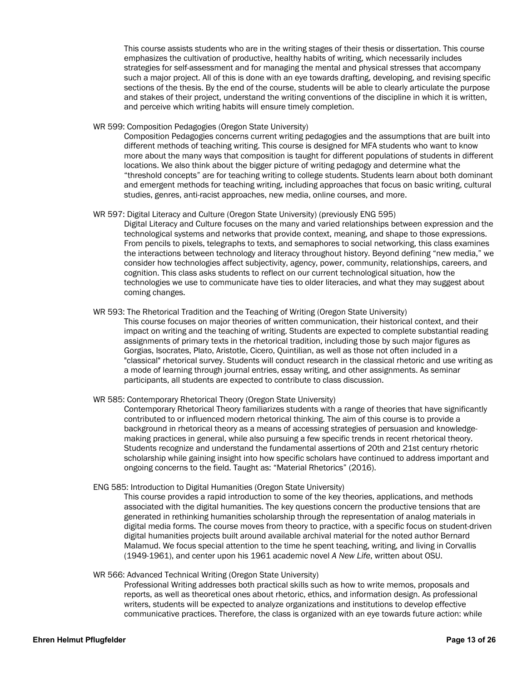This course assists students who are in the writing stages of their thesis or dissertation. This course emphasizes the cultivation of productive, healthy habits of writing, which necessarily includes strategies for self-assessment and for managing the mental and physical stresses that accompany such a major project. All of this is done with an eye towards drafting, developing, and revising specific sections of the thesis. By the end of the course, students will be able to clearly articulate the purpose and stakes of their project, understand the writing conventions of the discipline in which it is written, and perceive which writing habits will ensure timely completion.

WR 599: Composition Pedagogies (Oregon State University)

Composition Pedagogies concerns current writing pedagogies and the assumptions that are built into different methods of teaching writing. This course is designed for MFA students who want to know more about the many ways that composition is taught for different populations of students in different locations. We also think about the bigger picture of writing pedagogy and determine what the "threshold concepts" are for teaching writing to college students. Students learn about both dominant and emergent methods for teaching writing, including approaches that focus on basic writing, cultural studies, genres, anti-racist approaches, new media, online courses, and more.

#### WR 597: Digital Literacy and Culture (Oregon State University) (previously ENG 595)

Digital Literacy and Culture focuses on the many and varied relationships between expression and the technological systems and networks that provide context, meaning, and shape to those expressions. From pencils to pixels, telegraphs to texts, and semaphores to social networking, this class examines the interactions between technology and literacy throughout history. Beyond defining "new media," we consider how technologies affect subjectivity, agency, power, community, relationships, careers, and cognition. This class asks students to reflect on our current technological situation, how the technologies we use to communicate have ties to older literacies, and what they may suggest about coming changes.

#### WR 593: The Rhetorical Tradition and the Teaching of Writing (Oregon State University)

This course focuses on major theories of written communication, their historical context, and their impact on writing and the teaching of writing. Students are expected to complete substantial reading assignments of primary texts in the rhetorical tradition, including those by such major figures as Gorgias, Isocrates, Plato, Aristotle, Cicero, Quintilian, as well as those not often included in a "classical" rhetorical survey. Students will conduct research in the classical rhetoric and use writing as a mode of learning through journal entries, essay writing, and other assignments. As seminar participants, all students are expected to contribute to class discussion.

#### WR 585: Contemporary Rhetorical Theory (Oregon State University)

Contemporary Rhetorical Theory familiarizes students with a range of theories that have significantly contributed to or influenced modern rhetorical thinking. The aim of this course is to provide a background in rhetorical theory as a means of accessing strategies of persuasion and knowledgemaking practices in general, while also pursuing a few specific trends in recent rhetorical theory. Students recognize and understand the fundamental assertions of 20th and 21st century rhetoric scholarship while gaining insight into how specific scholars have continued to address important and ongoing concerns to the field. Taught as: "Material Rhetorics" (2016).

#### ENG 585: Introduction to Digital Humanities (Oregon State University)

This course provides a rapid introduction to some of the key theories, applications, and methods associated with the digital humanities. The key questions concern the productive tensions that are generated in rethinking humanities scholarship through the representation of analog materials in digital media forms. The course moves from theory to practice, with a specific focus on student-driven digital humanities projects built around available archival material for the noted author Bernard Malamud. We focus special attention to the time he spent teaching, writing, and living in Corvallis (1949-1961), and center upon his 1961 academic novel *A New Life*, written about OSU.

#### WR 566: Advanced Technical Writing (Oregon State University)

Professional Writing addresses both practical skills such as how to write memos, proposals and reports, as well as theoretical ones about rhetoric, ethics, and information design. As professional writers, students will be expected to analyze organizations and institutions to develop effective communicative practices. Therefore, the class is organized with an eye towards future action: while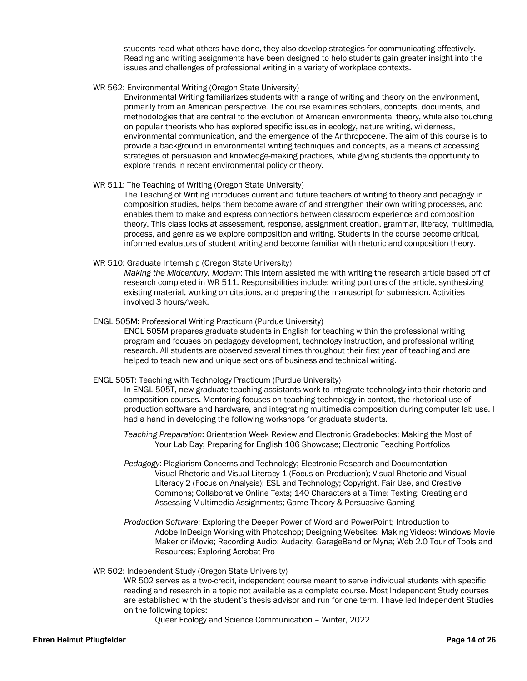students read what others have done, they also develop strategies for communicating effectively. Reading and writing assignments have been designed to help students gain greater insight into the issues and challenges of professional writing in a variety of workplace contexts.

WR 562: Environmental Writing (Oregon State University)

Environmental Writing familiarizes students with a range of writing and theory on the environment, primarily from an American perspective. The course examines scholars, concepts, documents, and methodologies that are central to the evolution of American environmental theory, while also touching on popular theorists who has explored specific issues in ecology, nature writing, wilderness, environmental communication, and the emergence of the Anthropocene. The aim of this course is to provide a background in environmental writing techniques and concepts, as a means of accessing strategies of persuasion and knowledge-making practices, while giving students the opportunity to explore trends in recent environmental policy or theory.

#### WR 511: The Teaching of Writing (Oregon State University)

The Teaching of Writing introduces current and future teachers of writing to theory and pedagogy in composition studies, helps them become aware of and strengthen their own writing processes, and enables them to make and express connections between classroom experience and composition theory. This class looks at assessment, response, assignment creation, grammar, literacy, multimedia, process, and genre as we explore composition and writing. Students in the course become critical, informed evaluators of student writing and become familiar with rhetoric and composition theory.

WR 510: Graduate Internship (Oregon State University)

*Making the Midcentury, Modern*: This intern assisted me with writing the research article based off of research completed in WR 511. Responsibilities include: writing portions of the article, synthesizing existing material, working on citations, and preparing the manuscript for submission. Activities involved 3 hours/week.

ENGL 505M: Professional Writing Practicum (Purdue University)

ENGL 505M prepares graduate students in English for teaching within the professional writing program and focuses on pedagogy development, technology instruction, and professional writing research. All students are observed several times throughout their first year of teaching and are helped to teach new and unique sections of business and technical writing.

ENGL 505T: Teaching with Technology Practicum (Purdue University)

In ENGL 505T, new graduate teaching assistants work to integrate technology into their rhetoric and composition courses. Mentoring focuses on teaching technology in context, the rhetorical use of production software and hardware, and integrating multimedia composition during computer lab use. I had a hand in developing the following workshops for graduate students.

- *Teaching Preparation*: Orientation Week Review and Electronic Gradebooks; Making the Most of Your Lab Day; Preparing for English 106 Showcase; Electronic Teaching Portfolios
- *Pedagogy*: Plagiarism Concerns and Technology; Electronic Research and Documentation Visual Rhetoric and Visual Literacy 1 (Focus on Production); Visual Rhetoric and Visual Literacy 2 (Focus on Analysis); ESL and Technology; Copyright, Fair Use, and Creative Commons; Collaborative Online Texts; 140 Characters at a Time: Texting; Creating and Assessing Multimedia Assignments; Game Theory & Persuasive Gaming
- *Production Software*: Exploring the Deeper Power of Word and PowerPoint; Introduction to Adobe InDesign Working with Photoshop; Designing Websites; Making Videos: Windows Movie Maker or iMovie; Recording Audio: Audacity, GarageBand or Myna; Web 2.0 Tour of Tools and Resources; Exploring Acrobat Pro

#### WR 502: Independent Study (Oregon State University)

WR 502 serves as a two-credit, independent course meant to serve individual students with specific reading and research in a topic not available as a complete course. Most Independent Study courses are established with the student's thesis advisor and run for one term. I have led Independent Studies on the following topics:

Queer Ecology and Science Communication – Winter, 2022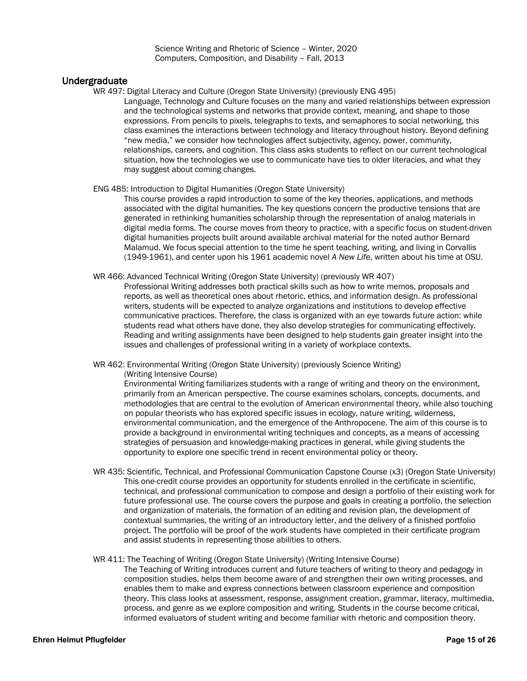Science Writing and Rhetoric of Science – Winter, 2020 Computers, Composition, and Disability – Fall, 2013

# Undergraduate

WR 497: Digital Literacy and Culture (Oregon State University) (previously ENG 495) Language, Technology and Culture focuses on the many and varied relationships between expression and the technological systems and networks that provide context, meaning, and shape to those expressions. From pencils to pixels, telegraphs to texts, and semaphores to social networking, this class examines the interactions between technology and literacy throughout history. Beyond defining "new media," we consider how technologies affect subjectivity, agency, power, community, relationships, careers, and cognition. This class asks students to reflect on our current technological situation, how the technologies we use to communicate have ties to older literacies, and what they may suggest about coming changes.

ENG 485: Introduction to Digital Humanities (Oregon State University)

This course provides a rapid introduction to some of the key theories, applications, and methods associated with the digital humanities. The key questions concern the productive tensions that are generated in rethinking humanities scholarship through the representation of analog materials in digital media forms. The course moves from theory to practice, with a specific focus on student-driven digital humanities projects built around available archival material for the noted author Bernard Malamud. We focus special attention to the time he spent teaching, writing, and living in Corvallis (1949-1961), and center upon his 1961 academic novel *A New Life*, written about his time at OSU.

WR 466: Advanced Technical Writing (Oregon State University) (previously WR 407)

Professional Writing addresses both practical skills such as how to write memos, proposals and reports, as well as theoretical ones about rhetoric, ethics, and information design. As professional writers, students will be expected to analyze organizations and institutions to develop effective communicative practices. Therefore, the class is organized with an eye towards future action: while students read what others have done, they also develop strategies for communicating effectively. Reading and writing assignments have been designed to help students gain greater insight into the issues and challenges of professional writing in a variety of workplace contexts.

WR 462: Environmental Writing (Oregon State University) (previously Science Writing) (Writing Intensive Course)

Environmental Writing familiarizes students with a range of writing and theory on the environment, primarily from an American perspective. The course examines scholars, concepts, documents, and methodologies that are central to the evolution of American environmental theory, while also touching on popular theorists who has explored specific issues in ecology, nature writing, wilderness, environmental communication, and the emergence of the Anthropocene. The aim of this course is to provide a background in environmental writing techniques and concepts, as a means of accessing strategies of persuasion and knowledge-making practices in general, while giving students the opportunity to explore one specific trend in recent environmental policy or theory.

WR 435: Scientific, Technical, and Professional Communication Capstone Course (x3) (Oregon State University) This one-credit course provides an opportunity for students enrolled in the certificate in scientific, technical, and professional communication to compose and design a portfolio of their existing work for future professional use. The course covers the purpose and goals in creating a portfolio, the selection and organization of materials, the formation of an editing and revision plan, the development of contextual summaries, the writing of an introductory letter, and the delivery of a finished portfolio project. The portfolio will be proof of the work students have completed in their certificate program and assist students in representing those abilities to others.

WR 411: The Teaching of Writing (Oregon State University) (Writing Intensive Course)

The Teaching of Writing introduces current and future teachers of writing to theory and pedagogy in composition studies, helps them become aware of and strengthen their own writing processes, and enables them to make and express connections between classroom experience and composition theory. This class looks at assessment, response, assignment creation, grammar, literacy, multimedia, process, and genre as we explore composition and writing. Students in the course become critical, informed evaluators of student writing and become familiar with rhetoric and composition theory.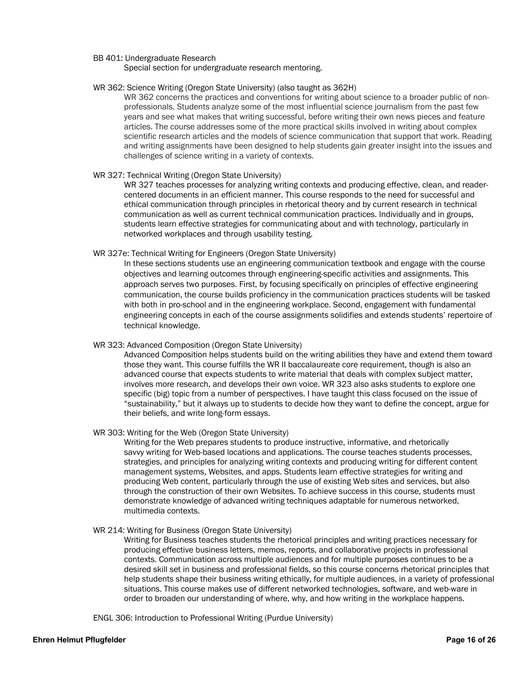#### BB 401: Undergraduate Research

Special section for undergraduate research mentoring.

#### WR 362: Science Writing (Oregon State University) (also taught as 362H)

WR 362 concerns the practices and conventions for writing about science to a broader public of nonprofessionals. Students analyze some of the most influential science journalism from the past few years and see what makes that writing successful, before writing their own news pieces and feature articles. The course addresses some of the more practical skills involved in writing about complex scientific research articles and the models of science communication that support that work. Reading and writing assignments have been designed to help students gain greater insight into the issues and challenges of science writing in a variety of contexts.

#### WR 327: Technical Writing (Oregon State University)

WR 327 teaches processes for analyzing writing contexts and producing effective, clean, and readercentered documents in an efficient manner. This course responds to the need for successful and ethical communication through principles in rhetorical theory and by current research in technical communication as well as current technical communication practices. Individually and in groups, students learn effective strategies for communicating about and with technology, particularly in networked workplaces and through usability testing.

#### WR 327e: Technical Writing for Engineers (Oregon State University)

In these sections students use an engineering communication textbook and engage with the course objectives and learning outcomes through engineering-specific activities and assignments. This approach serves two purposes. First, by focusing specifically on principles of effective engineering communication, the course builds proficiency in the communication practices students will be tasked with both in pro-school and in the engineering workplace. Second, engagement with fundamental engineering concepts in each of the course assignments solidifies and extends students' repertoire of technical knowledge.

#### WR 323: Advanced Composition (Oregon State University)

Advanced Composition helps students build on the writing abilities they have and extend them toward those they want. This course fulfills the WR II baccalaureate core requirement, though is also an advanced course that expects students to write material that deals with complex subject matter, involves more research, and develops their own voice. WR 323 also asks students to explore one specific (big) topic from a number of perspectives. I have taught this class focused on the issue of "sustainability," but it always up to students to decide how they want to define the concept, argue for their beliefs, and write long-form essays.

#### WR 303: Writing for the Web (Oregon State University)

Writing for the Web prepares students to produce instructive, informative, and rhetorically savvy writing for Web-based locations and applications. The course teaches students processes, strategies, and principles for analyzing writing contexts and producing writing for different content management systems, Websites, and apps. Students learn effective strategies for writing and producing Web content, particularly through the use of existing Web sites and services, but also through the construction of their own Websites. To achieve success in this course, students must demonstrate knowledge of advanced writing techniques adaptable for numerous networked, multimedia contexts.

#### WR 214: Writing for Business (Oregon State University)

Writing for Business teaches students the rhetorical principles and writing practices necessary for producing effective business letters, memos, reports, and collaborative projects in professional contexts. Communication across multiple audiences and for multiple purposes continues to be a desired skill set in business and professional fields, so this course concerns rhetorical principles that help students shape their business writing ethically, for multiple audiences, in a variety of professional situations. This course makes use of different networked technologies, software, and web-ware in order to broaden our understanding of where, why, and how writing in the workplace happens.

ENGL 306: Introduction to Professional Writing (Purdue University)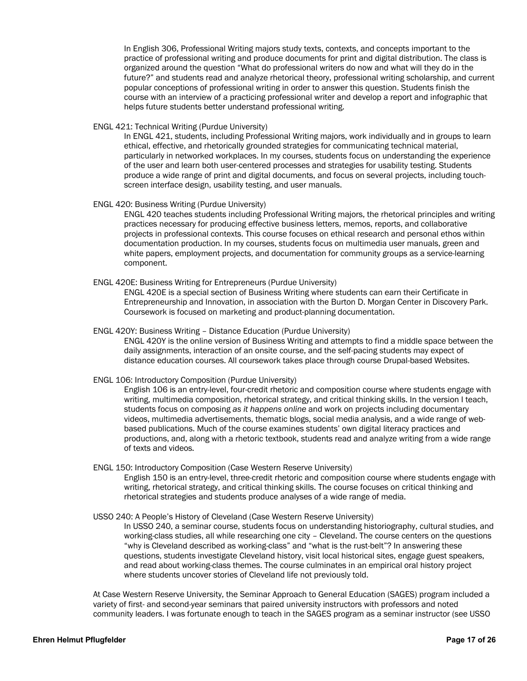In English 306, Professional Writing majors study texts, contexts, and concepts important to the practice of professional writing and produce documents for print and digital distribution. The class is organized around the question "What do professional writers do now and what will they do in the future?" and students read and analyze rhetorical theory, professional writing scholarship, and current popular conceptions of professional writing in order to answer this question. Students finish the course with an interview of a practicing professional writer and develop a report and infographic that helps future students better understand professional writing.

#### ENGL 421: Technical Writing (Purdue University)

In ENGL 421, students, including Professional Writing majors, work individually and in groups to learn ethical, effective, and rhetorically grounded strategies for communicating technical material, particularly in networked workplaces. In my courses, students focus on understanding the experience of the user and learn both user-centered processes and strategies for usability testing. Students produce a wide range of print and digital documents, and focus on several projects, including touchscreen interface design, usability testing, and user manuals.

#### ENGL 420: Business Writing (Purdue University)

ENGL 420 teaches students including Professional Writing majors, the rhetorical principles and writing practices necessary for producing effective business letters, memos, reports, and collaborative projects in professional contexts. This course focuses on ethical research and personal ethos within documentation production. In my courses, students focus on multimedia user manuals, green and white papers, employment projects, and documentation for community groups as a service-learning component.

#### ENGL 420E: Business Writing for Entrepreneurs (Purdue University)

ENGL 420E is a special section of Business Writing where students can earn their Certificate in Entrepreneurship and Innovation, in association with the Burton D. Morgan Center in Discovery Park. Coursework is focused on marketing and product-planning documentation.

#### ENGL 420Y: Business Writing – Distance Education (Purdue University)

ENGL 420Y is the online version of Business Writing and attempts to find a middle space between the daily assignments, interaction of an onsite course, and the self-pacing students may expect of distance education courses. All coursework takes place through course Drupal-based Websites.

#### ENGL 106: Introductory Composition (Purdue University)

English 106 is an entry-level, four-credit rhetoric and composition course where students engage with writing, multimedia composition, rhetorical strategy, and critical thinking skills. In the version I teach, students focus on composing *as it happens online* and work on projects including documentary videos, multimedia advertisements, thematic blogs, social media analysis, and a wide range of webbased publications. Much of the course examines students' own digital literacy practices and productions, and, along with a rhetoric textbook, students read and analyze writing from a wide range of texts and videos*.*

#### ENGL 150: Introductory Composition (Case Western Reserve University)

English 150 is an entry-level, three-credit rhetoric and composition course where students engage with writing, rhetorical strategy, and critical thinking skills. The course focuses on critical thinking and rhetorical strategies and students produce analyses of a wide range of media.

#### USSO 240: A People's History of Cleveland (Case Western Reserve University)

In USSO 240, a seminar course, students focus on understanding historiography, cultural studies, and working-class studies, all while researching one city – Cleveland. The course centers on the questions "why is Cleveland described as working-class" and "what is the rust-belt"? In answering these questions, students investigate Cleveland history, visit local historical sites, engage guest speakers, and read about working-class themes. The course culminates in an empirical oral history project where students uncover stories of Cleveland life not previously told.

At Case Western Reserve University, the Seminar Approach to General Education (SAGES) program included a variety of first- and second-year seminars that paired university instructors with professors and noted community leaders. I was fortunate enough to teach in the SAGES program as a seminar instructor (see USSO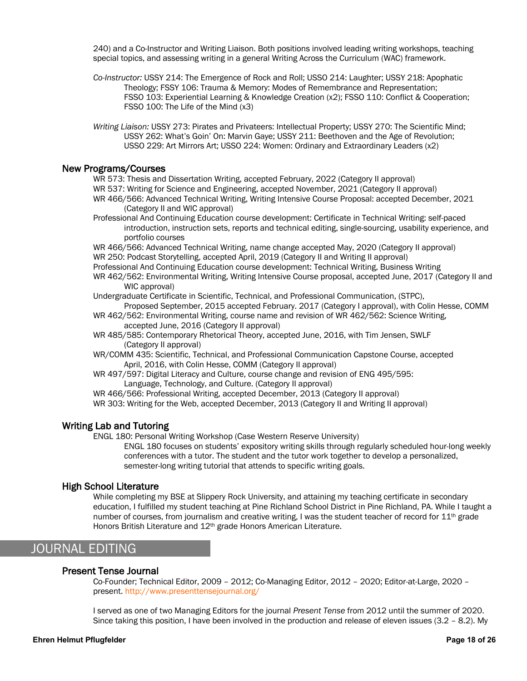240) and a Co-Instructor and Writing Liaison. Both positions involved leading writing workshops, teaching special topics, and assessing writing in a general Writing Across the Curriculum (WAC) framework.

*Co-Instructor:* USSY 214: The Emergence of Rock and Roll; USSO 214: Laughter; USSY 218: Apophatic Theology; FSSY 106: Trauma & Memory: Modes of Remembrance and Representation; FSSO 103: Experiential Learning & Knowledge Creation (x2); FSSO 110: Conflict & Cooperation; FSSO 100: The Life of the Mind (x3)

*Writing Liaison:* USSY 273: Pirates and Privateers: Intellectual Property; USSY 270: The Scientific Mind; USSY 262: What's Goin' On: Marvin Gaye; USSY 211: Beethoven and the Age of Revolution; USSO 229: Art Mirrors Art; USSO 224: Women: Ordinary and Extraordinary Leaders (x2)

### New Programs/Courses

WR 573: Thesis and Dissertation Writing, accepted February, 2022 (Category II approval) WR 537: Writing for Science and Engineering, accepted November, 2021 (Category II approval)

WR 466/566: Advanced Technical Writing, Writing Intensive Course Proposal: accepted December, 2021 (Category II and WIC approval)

Professional And Continuing Education course development: Certificate in Technical Writing: self-paced introduction, instruction sets, reports and technical editing, single-sourcing, usability experience, and portfolio courses

WR 466/566: Advanced Technical Writing, name change accepted May, 2020 (Category II approval) WR 250: Podcast Storytelling, accepted April, 2019 (Category II and Writing II approval)

Professional And Continuing Education course development: Technical Writing, Business Writing WR 462/562: Environmental Writing, Writing Intensive Course proposal, accepted June, 2017 (Category II and WIC approval)

Undergraduate Certificate in Scientific, Technical, and Professional Communication, (STPC), Proposed September, 2015 accepted February. 2017 (Category I approval), with Colin Hesse, COMM

WR 462/562: Environmental Writing, course name and revision of WR 462/562: Science Writing, accepted June, 2016 (Category II approval)

WR 485/585: Contemporary Rhetorical Theory, accepted June, 2016, with Tim Jensen, SWLF (Category II approval)

WR/COMM 435: Scientific, Technical, and Professional Communication Capstone Course, accepted April, 2016, with Colin Hesse, COMM (Category II approval)

WR 497/597: Digital Literacy and Culture, course change and revision of ENG 495/595: Language, Technology, and Culture. (Category II approval)

WR 466/566: Professional Writing, accepted December, 2013 (Category II approval)

WR 303: Writing for the Web, accepted December, 2013 (Category II and Writing II approval)

# Writing Lab and Tutoring

ENGL 180: Personal Writing Workshop (Case Western Reserve University)

ENGL 180 focuses on students' expository writing skills through regularly scheduled hour-long weekly conferences with a tutor. The student and the tutor work together to develop a personalized, semester-long writing tutorial that attends to specific writing goals.

# High School Literature

While completing my BSE at Slippery Rock University, and attaining my teaching certificate in secondary education, I fulfilled my student teaching at Pine Richland School District in Pine Richland, PA. While I taught a number of courses, from journalism and creative writing, I was the student teacher of record for  $11^{\text{th}}$  grade Honors British Literature and 12th grade Honors American Literature.

# JOURNAL EDITING

# Present Tense Journal

Co-Founder; Technical Editor, 2009 – 2012; Co-Managing Editor, 2012 – 2020; Editor-at-Large, 2020 – present. http://www.presenttensejournal.org/

I served as one of two Managing Editors for the journal *Present Tense* from 2012 until the summer of 2020. Since taking this position, I have been involved in the production and release of eleven issues (3.2 – 8.2). My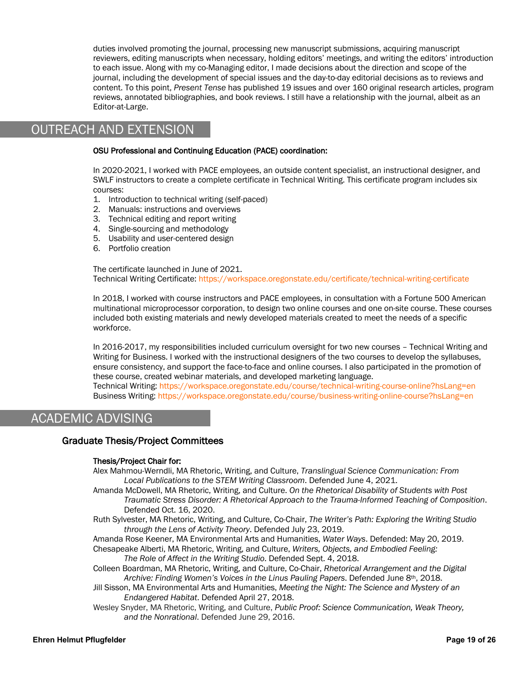duties involved promoting the journal, processing new manuscript submissions, acquiring manuscript reviewers, editing manuscripts when necessary, holding editors' meetings, and writing the editors' introduction to each issue. Along with my co-Managing editor, I made decisions about the direction and scope of the journal, including the development of special issues and the day-to-day editorial decisions as to reviews and content. To this point, *Present Tense* has published 19 issues and over 160 original research articles, program reviews, annotated bibliographies, and book reviews. I still have a relationship with the journal, albeit as an Editor-at-Large.

# OUTREACH AND EXTENSION

#### OSU Professional and Continuing Education (PACE) coordination:

In 2020-2021, I worked with PACE employees, an outside content specialist, an instructional designer, and SWLF instructors to create a complete certificate in Technical Writing. This certificate program includes six courses:

- 1. Introduction to technical writing (self-paced)
- 2. Manuals: instructions and overviews
- 3. Technical editing and report writing
- 4. Single-sourcing and methodology
- 5. Usability and user-centered design
- 6. Portfolio creation

The certificate launched in June of 2021. Technical Writing Certificate: https://workspace.oregonstate.edu/certificate/technical-writing-certificate

In 2018, I worked with course instructors and PACE employees, in consultation with a Fortune 500 American multinational microprocessor corporation, to design two online courses and one on-site course. These courses included both existing materials and newly developed materials created to meet the needs of a specific workforce.

In 2016-2017, my responsibilities included curriculum oversight for two new courses – Technical Writing and Writing for Business. I worked with the instructional designers of the two courses to develop the syllabuses, ensure consistency, and support the face-to-face and online courses. I also participated in the promotion of these course, created webinar materials, and developed marketing language.

Technical Writing: https://workspace.oregonstate.edu/course/technical-writing-course-online?hsLang=en Business Writing: https://workspace.oregonstate.edu/course/business-writing-online-course?hsLang=en

# ACADEMIC ADVISING

### Graduate Thesis/Project Committees

#### Thesis/Project Chair for:

- Alex Mahmou-Werndli, MA Rhetoric, Writing, and Culture, *Translingual Science Communication: From Local Publications to the STEM Writing Classroom*. Defended June 4, 2021.
- Amanda McDowell, MA Rhetoric, Writing, and Culture. *On the Rhetorical Disability of Students with Post Traumatic Stress Disorder: A Rhetorical Approach to the Trauma-Informed Teaching of Composition*. Defended Oct. 16, 2020.
- Ruth Sylvester, MA Rhetoric, Writing, and Culture, Co-Chair, *The Writer's Path: Exploring the Writing Studio through the Lens of Activity Theory*. Defended July 23, 2019.
- Amanda Rose Keener, MA Environmental Arts and Humanities, *Water Ways*. Defended: May 20, 2019. Chesapeake Alberti, MA Rhetoric, Writing, and Culture, *Writers, Objects, and Embodied Feeling: The Role of Affect in the Writing Studio*. Defended Sept. 4, 2018.
- Colleen Boardman, MA Rhetoric, Writing, and Culture, Co-Chair, *Rhetorical Arrangement and the Digital Archive: Finding Women's Voices in the Linus Pauling Papers*. Defended June 8th, 2018.
- Jill Sisson, MA Environmental Arts and Humanities, *Meeting the Night: The Science and Mystery of an Endangered Habitat*. Defended April 27, 2018.
- Wesley Snyder, MA Rhetoric, Writing, and Culture, *Public Proof: Science Communication, Weak Theory, and the Nonrational*. Defended June 29, 2016.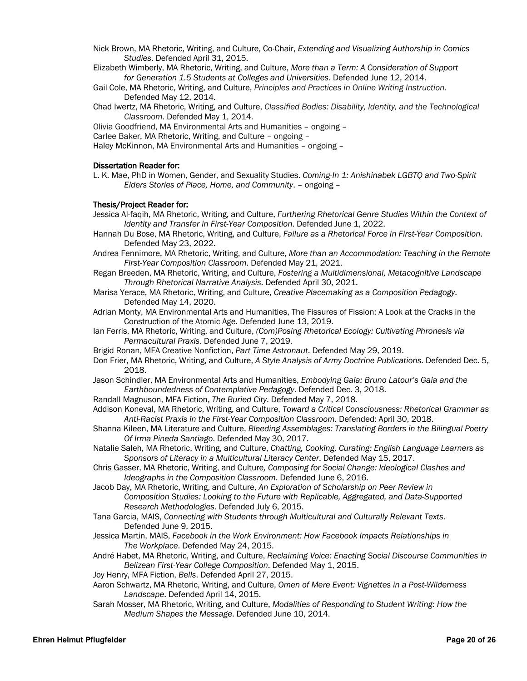- Nick Brown, MA Rhetoric, Writing, and Culture, Co-Chair, *Extending and Visualizing Authorship in Comics Studies*. Defended April 31, 2015.
- Elizabeth Wimberly, MA Rhetoric, Writing, and Culture, *More than a Term: A Consideration of Support for Generation 1.5 Students at Colleges and Universities*. Defended June 12, 2014.
- Gail Cole, MA Rhetoric, Writing, and Culture, *Principles and Practices in Online Writing Instruction*. Defended May 12, 2014.
- Chad Iwertz, MA Rhetoric, Writing, and Culture, *Classified Bodies: Disability, Identity, and the Technological Classroom*. Defended May 1, 2014.
- Olivia Goodfriend, MA Environmental Arts and Humanities ongoing –
- Carlee Baker, MA Rhetoric, Writing, and Culture ongoing –

Haley McKinnon, MA Environmental Arts and Humanities – ongoing –

#### Dissertation Reader for:

L. K. Mae, PhD in Women, Gender, and Sexuality Studies. *Coming-In 1: Anishinabek LGBTQ and Two-Spirit Elders Stories of Place, Home, and Community*. – ongoing –

#### Thesis/Project Reader for:

- Jessica Al-faqih, MA Rhetoric, Writing, and Culture, *Furthering Rhetorical Genre Studies Within the Context of Identity and Transfer in First-Year Composition*. Defended June 1, 2022.
- Hannah Du Bose, MA Rhetoric, Writing, and Culture, *Failure as a Rhetorical Force in First-Year Composition*. Defended May 23, 2022.
- Andrea Fennimore, MA Rhetoric, Writing, and Culture, *More than an Accommodation: Teaching in the Remote First-Year Composition Classroom*. Defended May 21, 2021.
- Regan Breeden, MA Rhetoric, Writing, and Culture, *Fostering a Multidimensional, Metacognitive Landscape Through Rhetorical Narrative Analysis*. Defended April 30, 2021.
- Marisa Yerace, MA Rhetoric, Writing, and Culture, *Creative Placemaking as a Composition Pedagogy*. Defended May 14, 2020.
- Adrian Monty, MA Environmental Arts and Humanities, The Fissures of Fission: A Look at the Cracks in the Construction of the Atomic Age. Defended June 13, 2019.
- Ian Ferris, MA Rhetoric, Writing, and Culture, *(Com)Posing Rhetorical Ecology: Cultivating Phronesis via Permacultural Praxis*. Defended June 7, 2019.
- Brigid Ronan, MFA Creative Nonfiction, *Part Time Astronaut*. Defended May 29, 2019.
- Don Frier, MA Rhetoric, Writing, and Culture, *A Style Analysis of Army Doctrine Publications*. Defended Dec. 5, 2018.
- Jason Schindler, MA Environmental Arts and Humanities, *Embodying Gaia: Bruno Latour's Gaia and the Earthboundedness of Contemplative Pedagogy*. Defended Dec. 3, 2018.
- Randall Magnuson, MFA Fiction, *The Buried City*. Defended May 7, 2018.
- Addison Koneval, MA Rhetoric, Writing, and Culture, *Toward a Critical Consciousness: Rhetorical Grammar as Anti-Racist Praxis in the First-Year Composition Classroom*. Defended: April 30, 2018.
- Shanna Kileen, MA Literature and Culture, *Bleeding Assemblages: Translating Borders in the Bilingual Poetry Of Irma Pineda Santiago*. Defended May 30, 2017.
- Natalie Saleh, MA Rhetoric, Writing, and Culture, *Chatting, Cooking, Curating: English Language Learners as Sponsors of Literacy in a Multicultural Literacy Center*. Defended May 15, 2017.
- Chris Gasser, MA Rhetoric, Writing, and Culture*, Composing for Social Change: Ideological Clashes and Ideographs in the Composition Classroom*. Defended June 6, 2016.
- Jacob Day, MA Rhetoric, Writing, and Culture, *An Exploration of Scholarship on Peer Review in Composition Studies: Looking to the Future with Replicable, Aggregated, and Data-Supported Research Methodologies*. Defended July 6, 2015.
- Tana Garcia, MAIS, *Connecting with Students through Multicultural and Culturally Relevant Texts*. Defended June 9, 2015.
- Jessica Martin, MAIS, *Facebook in the Work Environment: How Facebook Impacts Relationships in The Workplace*. Defended May 24, 2015.
- André Habet, MA Rhetoric, Writing, and Culture, *Reclaiming Voice: Enacting Social Discourse Communities in Belizean First-Year College Composition*. Defended May 1, 2015.
- Joy Henry, MFA Fiction, *Bells*. Defended April 27, 2015.
- Aaron Schwartz, MA Rhetoric, Writing, and Culture, *Omen of Mere Event: Vignettes in a Post-Wilderness Landscape*. Defended April 14, 2015.
- Sarah Mosser, MA Rhetoric, Writing, and Culture, *Modalities of Responding to Student Writing: How the Medium Shapes the Message*. Defended June 10, 2014.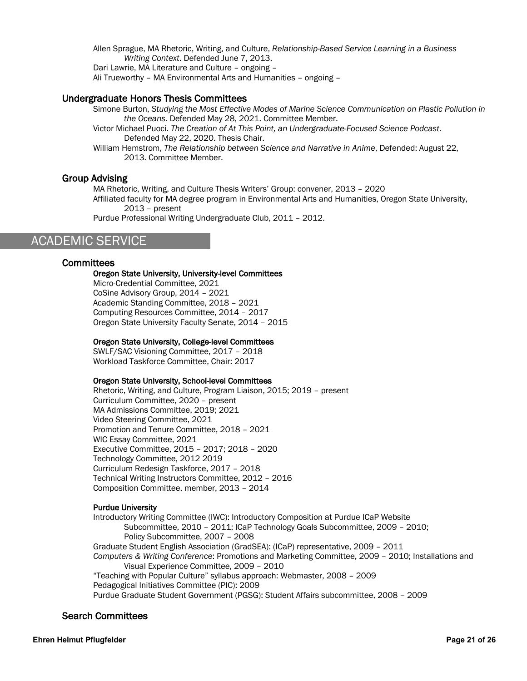Allen Sprague, MA Rhetoric, Writing, and Culture, *Relationship-Based Service Learning in a Business Writing Context*. Defended June 7, 2013. Dari Lawrie, MA Literature and Culture – ongoing – Ali Trueworthy – MA Environmental Arts and Humanities – ongoing –

# Undergraduate Honors Thesis Committees

Simone Burton, *Studying the Most Effective Modes of Marine Science Communication on Plastic Pollution in the Oceans*. Defended May 28, 2021. Committee Member.

Victor Michael Puoci. *The Creation of At This Point, an Undergraduate-Focused Science Podcast*. Defended May 22, 2020. Thesis Chair.

William Hemstrom, *The Relationship between Science and Narrative in Anime*, Defended: August 22, 2013. Committee Member.

### Group Advising

MA Rhetoric, Writing, and Culture Thesis Writers' Group: convener, 2013 – 2020

Affiliated faculty for MA degree program in Environmental Arts and Humanities, Oregon State University, 2013 – present

Purdue Professional Writing Undergraduate Club, 2011 – 2012.

# ACADEMIC SERVICE

### **Committees**

#### Oregon State University, University-level Committees

Micro-Credential Committee, 2021 CoSine Advisory Group, 2014 – 2021 Academic Standing Committee, 2018 – 2021 Computing Resources Committee, 2014 – 2017 Oregon State University Faculty Senate, 2014 – 2015

#### Oregon State University, College-level Committees

SWLF/SAC Visioning Committee, 2017 – 2018 Workload Taskforce Committee, Chair: 2017

#### Oregon State University, School-level Committees

Rhetoric, Writing, and Culture, Program Liaison, 2015; 2019 – present Curriculum Committee, 2020 – present MA Admissions Committee, 2019; 2021 Video Steering Committee, 2021 Promotion and Tenure Committee, 2018 – 2021 WIC Essay Committee, 2021 Executive Committee, 2015 – 2017; 2018 – 2020 Technology Committee, 2012 2019 Curriculum Redesign Taskforce, 2017 – 2018 Technical Writing Instructors Committee, 2012 – 2016 Composition Committee, member, 2013 – 2014

#### Purdue University

Introductory Writing Committee (IWC): Introductory Composition at Purdue ICaP Website Subcommittee, 2010 – 2011; ICaP Technology Goals Subcommittee, 2009 – 2010; Policy Subcommittee, 2007 – 2008 Graduate Student English Association (GradSEA): (ICaP) representative, 2009 – 2011 *Computers & Writing Conference*: Promotions and Marketing Committee, 2009 – 2010; Installations and Visual Experience Committee, 2009 – 2010 "Teaching with Popular Culture" syllabus approach: Webmaster, 2008 – 2009 Pedagogical Initiatives Committee (PIC): 2009

Purdue Graduate Student Government (PGSG): Student Affairs subcommittee, 2008 – 2009

# Search Committees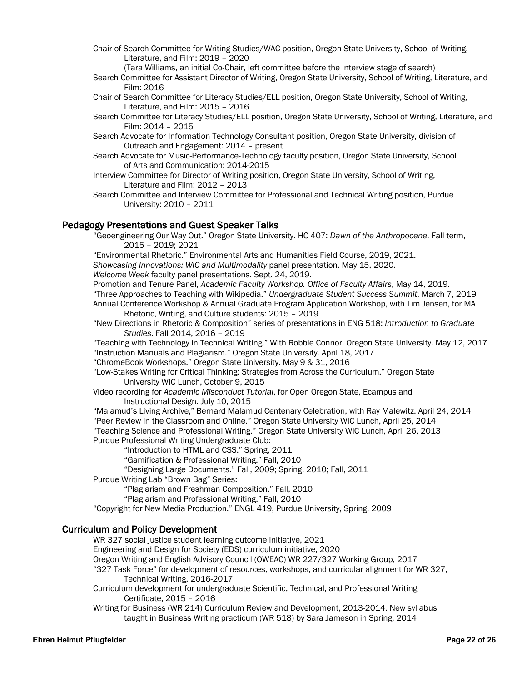- Chair of Search Committee for Writing Studies/WAC position, Oregon State University, School of Writing, Literature, and Film: 2019 – 2020
	- (Tara Williams, an initial Co-Chair, left committee before the interview stage of search)
- Search Committee for Assistant Director of Writing, Oregon State University, School of Writing, Literature, and Film: 2016
- Chair of Search Committee for Literacy Studies/ELL position, Oregon State University, School of Writing, Literature, and Film: 2015 – 2016
- Search Committee for Literacy Studies/ELL position, Oregon State University, School of Writing, Literature, and Film: 2014 – 2015
- Search Advocate for Information Technology Consultant position, Oregon State University, division of Outreach and Engagement: 2014 – present
- Search Advocate for Music-Performance-Technology faculty position, Oregon State University, School of Arts and Communication: 2014-2015
- Interview Committee for Director of Writing position, Oregon State University, School of Writing, Literature and Film: 2012 – 2013
- Search Committee and Interview Committee for Professional and Technical Writing position, Purdue University: 2010 – 2011

#### Pedagogy Presentations and Guest Speaker Talks

"Geoengineering Our Way Out." Oregon State University. HC 407: *Dawn of the Anthropocene*. Fall term, 2015 – 2019; 2021

"Environmental Rhetoric." Environmental Arts and Humanities Field Course, 2019, 2021.

*Showcasing Innovations: WIC and Multimodality* panel presentation. May 15, 2020.

*Welcome Week* faculty panel presentations. Sept. 24, 2019.

Promotion and Tenure Panel, *Academic Faculty Workshop. Office of Faculty Affairs*, May 14, 2019.

- "Three Approaches to Teaching with Wikipedia." *Undergraduate Student Success Summit*. March 7, 2019 Annual Conference Workshop & Annual Graduate Program Application Workshop, with Tim Jensen, for MA Rhetoric, Writing, and Culture students: 2015 – 2019
- "New Directions in Rhetoric & Composition" series of presentations in ENG 518: *Introduction to Graduate Studies*. Fall 2014, 2016 – 2019

"Teaching with Technology in Technical Writing." With Robbie Connor. Oregon State University. May 12, 2017 "Instruction Manuals and Plagiarism." Oregon State University. April 18, 2017

- "ChromeBook Workshops." Oregon State University. May 9 & 31, 2016
- "Low-Stakes Writing for Critical Thinking: Strategies from Across the Curriculum." Oregon State University WIC Lunch, October 9, 2015
- Video recording for *Academic Misconduct Tutorial*, for Open Oregon State, Ecampus and Instructional Design. July 10, 2015

"Malamud's Living Archive," Bernard Malamud Centenary Celebration, with Ray Malewitz. April 24, 2014

"Peer Review in the Classroom and Online." Oregon State University WIC Lunch, April 25, 2014

"Teaching Science and Professional Writing." Oregon State University WIC Lunch, April 26, 2013 Purdue Professional Writing Undergraduate Club:

"Introduction to HTML and CSS." Spring, 2011

"Gamification & Professional Writing." Fall, 2010

"Designing Large Documents." Fall, 2009; Spring, 2010; Fall, 2011

Purdue Writing Lab "Brown Bag" Series:

"Plagiarism and Freshman Composition." Fall, 2010

"Plagiarism and Professional Writing." Fall, 2010

"Copyright for New Media Production." ENGL 419, Purdue University, Spring, 2009

# Curriculum and Policy Development

WR 327 social justice student learning outcome initiative, 2021

Engineering and Design for Society (EDS) curriculum initiative, 2020

Oregon Writing and English Advisory Council (OWEAC) WR 227/327 Working Group, 2017

"327 Task Force" for development of resources, workshops, and curricular alignment for WR 327, Technical Writing, 2016-2017

Curriculum development for undergraduate Scientific, Technical, and Professional Writing Certificate, 2015 – 2016

Writing for Business (WR 214) Curriculum Review and Development, 2013-2014. New syllabus taught in Business Writing practicum (WR 518) by Sara Jameson in Spring, 2014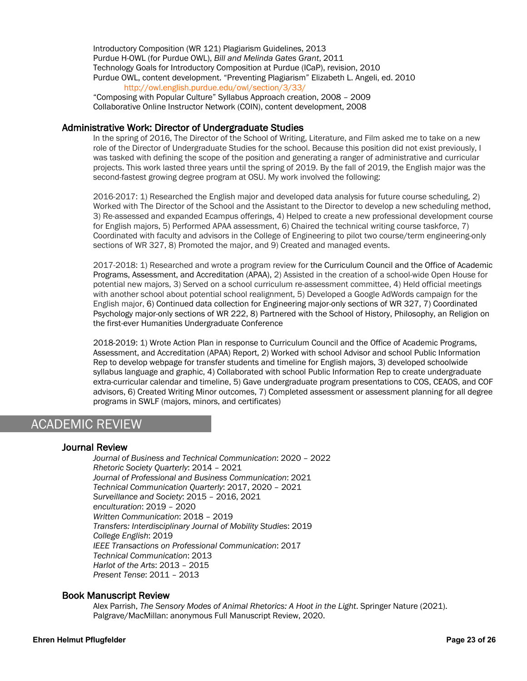Introductory Composition (WR 121) Plagiarism Guidelines, 2013 Purdue H-OWL (for Purdue OWL), *Bill and Melinda Gates Grant*, 2011 Technology Goals for Introductory Composition at Purdue (ICaP), revision, 2010 Purdue OWL, content development. "Preventing Plagiarism" Elizabeth L. Angeli, ed. 2010 http://owl.english.purdue.edu/owl/section/3/33/ "Composing with Popular Culture" Syllabus Approach creation, 2008 – 2009

Collaborative Online Instructor Network (COIN), content development, 2008

## Administrative Work: Director of Undergraduate Studies

In the spring of 2016, The Director of the School of Writing, Literature, and Film asked me to take on a new role of the Director of Undergraduate Studies for the school. Because this position did not exist previously, I was tasked with defining the scope of the position and generating a ranger of administrative and curricular projects. This work lasted three years until the spring of 2019. By the fall of 2019, the English major was the second-fastest growing degree program at OSU. My work involved the following:

2016-2017: 1) Researched the English major and developed data analysis for future course scheduling, 2) Worked with The Director of the School and the Assistant to the Director to develop a new scheduling method, 3) Re-assessed and expanded Ecampus offerings, 4) Helped to create a new professional development course for English majors, 5) Performed APAA assessment, 6) Chaired the technical writing course taskforce, 7) Coordinated with faculty and advisors in the College of Engineering to pilot two course/term engineering-only sections of WR 327, 8) Promoted the major, and 9) Created and managed events.

2017-2018: 1) Researched and wrote a program review for the Curriculum Council and the Office of Academic Programs, Assessment, and Accreditation (APAA), 2) Assisted in the creation of a school-wide Open House for potential new majors, 3) Served on a school curriculum re-assessment committee, 4) Held official meetings with another school about potential school realignment, 5) Developed a Google AdWords campaign for the English major, 6) Continued data collection for Engineering major-only sections of WR 327, 7) Coordinated Psychology major-only sections of WR 222, 8) Partnered with the School of History, Philosophy, an Religion on the first-ever Humanities Undergraduate Conference

2018-2019: 1) Wrote Action Plan in response to Curriculum Council and the Office of Academic Programs, Assessment, and Accreditation (APAA) Report, 2) Worked with school Advisor and school Public Information Rep to develop webpage for transfer students and timeline for English majors, 3) developed schoolwide syllabus language and graphic, 4) Collaborated with school Public Information Rep to create undergraduate extra-curricular calendar and timeline, 5) Gave undergraduate program presentations to COS, CEAOS, and COF advisors, 6) Created Writing Minor outcomes, 7) Completed assessment or assessment planning for all degree programs in SWLF (majors, minors, and certificates)

# ACADEMIC REVIEW

Ι

# Journal Review

*Journal of Business and Technical Communication*: 2020 – 2022 *Rhetoric Society Quarterly*: 2014 – 2021 *Journal of Professional and Business Communication*: 2021 *Technical Communication Quarterly*: 2017, 2020 – 2021 *Surveillance and Society*: 2015 – 2016, 2021 *enculturation*: 2019 – 2020 *Written Communication*: 2018 – 2019 *Transfers: Interdisciplinary Journal of Mobility Studies*: 2019 *College English*: 2019 *IEEE Transactions on Professional Communication*: 2017 *Technical Communication*: 2013 *Harlot of the Arts*: 2013 – 2015 *Present Tense*: 2011 – 2013

### Book Manuscript Review

Alex Parrish, *The Sensory Modes of Animal Rhetorics: A Hoot in the Light*. Springer Nature (2021). Palgrave/MacMillan: anonymous Full Manuscript Review, 2020.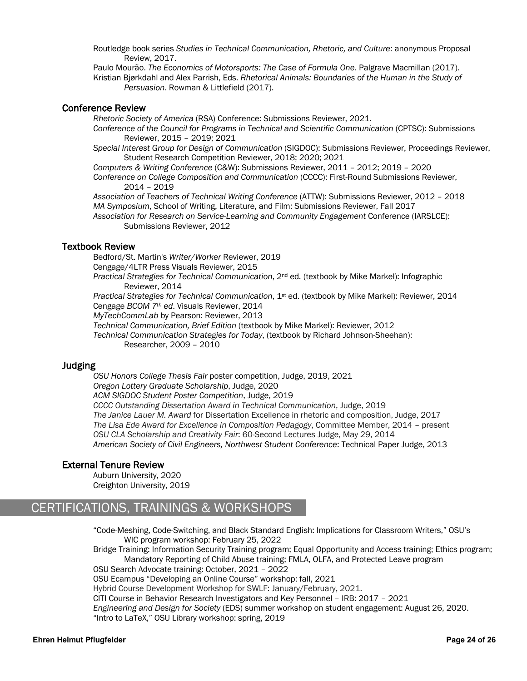Routledge book series *Studies in Technical Communication, Rhetoric, and Culture*: anonymous Proposal Review, 2017.

Paulo Mourão. *The Economics of Motorsports: The Case of Formula One*. Palgrave Macmillan (2017). Kristian Bjørkdahl and Alex Parrish, Eds. *Rhetorical Animals: Boundaries of the Human in the Study of Persuasion*. Rowman & Littlefield (2017).

## Conference Review

*Rhetoric Society of America* (RSA) Conference: Submissions Reviewer, 2021.

*Conference of the Council for Programs in Technical and Scientific Communication* (CPTSC): Submissions Reviewer, 2015 – 2019; 2021

*Special Interest Group for Design of Communication* (SIGDOC): Submissions Reviewer, Proceedings Reviewer, Student Research Competition Reviewer, 2018; 2020; 2021

*Computers & Writing Conference* (C&W): Submissions Reviewer, 2011 – 2012; 2019 – 2020

*Conference on College Composition and Communication* (CCCC): First-Round Submissions Reviewer, 2014 – 2019

*Association of Teachers of Technical Writing Conference* (ATTW): Submissions Reviewer, 2012 – 2018 *MA Symposium*, School of Writing, Literature, and Film: Submissions Reviewer, Fall 2017

*Association for Research on Service-Learning and Community Engagement* Conference (IARSLCE): Submissions Reviewer, 2012

# Textbook Review

Bedford/St. Martin's *Writer/Worker* Reviewer, 2019 Cengage/4LTR Press Visuals Reviewer, 2015

*Practical Strategies for Technical Communication*, 2nd ed*.* (textbook by Mike Markel): Infographic Reviewer, 2014

*Practical Strategies for Technical Communication*, 1st ed. (textbook by Mike Markel): Reviewer, 2014 Cengage *BCOM 7th ed*. Visuals Reviewer, 2014

*MyTechCommLab* by Pearson: Reviewer, 2013

*Technical Communication, Brief Edition* (textbook by Mike Markel): Reviewer, 2012

*Technical Communication Strategies for Today*, (textbook by Richard Johnson-Sheehan): Researcher, 2009 – 2010

# Judging

*OSU Honors College Thesis Fair* poster competition, Judge, 2019, 2021 *Oregon Lottery Graduate Scholarship*, Judge, 2020 *ACM SIGDOC Student Poster Competition*, Judge, 2019 *CCCC Outstanding Dissertation Award in Technical Communication*, Judge, 2019 *The Janice Lauer M. Award* for Dissertation Excellence in rhetoric and composition, Judge, 2017 *The Lisa Ede Award for Excellence in Composition Pedagogy*, Committee Member, 2014 – present *OSU CLA Scholarship and Creativity Fair*: 60-Second Lectures Judge, May 29, 2014 *American Society of Civil Engineers, Northwest Student Conference*: Technical Paper Judge, 2013

# **External Tenure Review**<br>Auburn University, 2020

Creighton University, 2019

# CERTIFICATIONS, TRAININGS & WORKSHOPS

"Code-Meshing, Code-Switching, and Black Standard English: Implications for Classroom Writers," OSU's WIC program workshop: February 25, 2022

Bridge Training: Information Security Training program; Equal Opportunity and Access training; Ethics program; Mandatory Reporting of Child Abuse training; FMLA, OLFA, and Protected Leave program

OSU Search Advocate training: October, 2021 – 2022

OSU Ecampus "Developing an Online Course" workshop: fall, 2021

Hybrid Course Development Workshop for SWLF: January/February, 2021.

CITI Course in Behavior Research Investigators and Key Personnel – IRB: 2017 – 2021

*Engineering and Design for Society* (EDS) summer workshop on student engagement: August 26, 2020. "Intro to LaTeX," OSU Library workshop: spring, 2019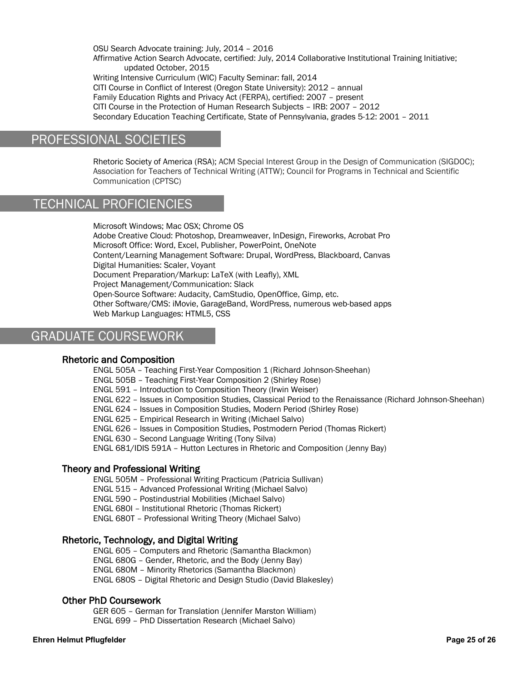OSU Search Advocate training: July, 2014 – 2016 Affirmative Action Search Advocate, certified: July, 2014 Collaborative Institutional Training Initiative; updated October, 2015 Writing Intensive Curriculum (WIC) Faculty Seminar: fall, 2014 CITI Course in Conflict of Interest (Oregon State University): 2012 – annual Family Education Rights and Privacy Act (FERPA), certified: 2007 – present CITI Course in the Protection of Human Research Subjects – IRB: 2007 – 2012 Secondary Education Teaching Certificate, State of Pennsylvania, grades 5-12: 2001 – 2011

# PROFESSIONAL SOCIETIES

Rhetoric Society of America (RSA); ACM Special Interest Group in the Design of Communication (SIGDOC); Association for Teachers of Technical Writing (ATTW); Council for Programs in Technical and Scientific Communication (CPTSC)

# TECHNICAL PROFICIENCIES

Microsoft Windows; Mac OSX; Chrome OS Adobe Creative Cloud: Photoshop, Dreamweaver, InDesign, Fireworks, Acrobat Pro Microsoft Office: Word, Excel, Publisher, PowerPoint, OneNote Content/Learning Management Software: Drupal, WordPress, Blackboard, Canvas Digital Humanities: Scaler, Voyant Document Preparation/Markup: LaTeX (with Leafly), XML Project Management/Communication: Slack Open-Source Software: Audacity, CamStudio, OpenOffice, Gimp, etc. Other Software/CMS: iMovie, GarageBand, WordPress, numerous web-based apps Web Markup Languages: HTML5, CSS

# GRADUATE COURSEWORK

# Rhetoric and Composition

ENGL 505A – Teaching First-Year Composition 1 (Richard Johnson-Sheehan) ENGL 505B – Teaching First-Year Composition 2 (Shirley Rose) ENGL 591 – Introduction to Composition Theory (Irwin Weiser) ENGL 622 – Issues in Composition Studies, Classical Period to the Renaissance (Richard Johnson-Sheehan) ENGL 624 – Issues in Composition Studies, Modern Period (Shirley Rose) ENGL 625 – Empirical Research in Writing (Michael Salvo) ENGL 626 – Issues in Composition Studies, Postmodern Period (Thomas Rickert) ENGL 630 – Second Language Writing (Tony Silva) ENGL 681/IDIS 591A – Hutton Lectures in Rhetoric and Composition (Jenny Bay)

# Theory and Professional Writing

ENGL 505M – Professional Writing Practicum (Patricia Sullivan) ENGL 515 – Advanced Professional Writing (Michael Salvo) ENGL 590 – Postindustrial Mobilities (Michael Salvo) ENGL 680I – Institutional Rhetoric (Thomas Rickert) ENGL 680T – Professional Writing Theory (Michael Salvo)

# Rhetoric, Technology, and Digital Writing

ENGL 605 – Computers and Rhetoric (Samantha Blackmon) ENGL 680G – Gender, Rhetoric, and the Body (Jenny Bay) ENGL 680M – Minority Rhetorics (Samantha Blackmon) ENGL 680S – Digital Rhetoric and Design Studio (David Blakesley)

# Other PhD Coursework

GER 605 – German for Translation (Jennifer Marston William) ENGL 699 – PhD Dissertation Research (Michael Salvo)